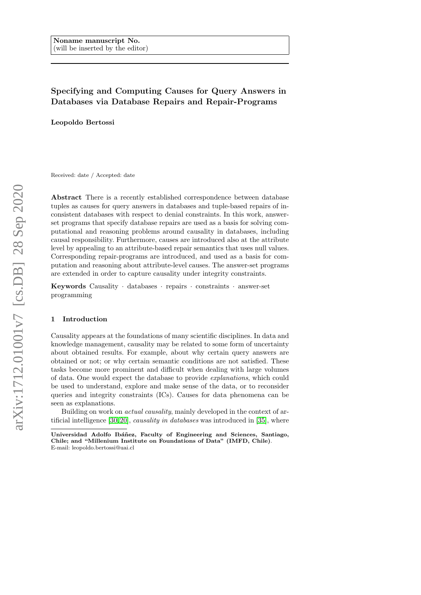# Specifying and Computing Causes for Query Answers in Databases via Database Repairs and Repair-Programs

Leopoldo Bertossi

Received: date / Accepted: date

Abstract There is a recently established correspondence between database tuples as causes for query answers in databases and tuple-based repairs of inconsistent databases with respect to denial constraints. In this work, answerset programs that specify database repairs are used as a basis for solving computational and reasoning problems around causality in databases, including causal responsibility. Furthermore, causes are introduced also at the attribute level by appealing to an attribute-based repair semantics that uses null values. Corresponding repair-programs are introduced, and used as a basis for computation and reasoning about attribute-level causes. The answer-set programs are extended in order to capture causality under integrity constraints.

Keywords Causality · databases · repairs · constraints · answer-set programming

## 1 Introduction

Causality appears at the foundations of many scientific disciplines. In data and knowledge management, causality may be related to some form of uncertainty about obtained results. For example, about why certain query answers are obtained or not; or why certain semantic conditions are not satisfied. These tasks become more prominent and difficult when dealing with large volumes of data. One would expect the database to provide explanations, which could be used to understand, explore and make sense of the data, or to reconsider queries and integrity constraints (ICs). Causes for data phenomena can be seen as explanations.

Building on work on actual causality, mainly developed in the context of artificial intelligence [\[30,](#page-31-0) [20\]](#page-31-1), causality in databases was introduced in [\[35\]](#page-31-2), where

Universidad Adolfo Ibáñez, Faculty of Engineering and Sciences, Santiago, Chile; and "Millenium Institute on Foundations of Data" (IMFD, Chile). E-mail: leopoldo.bertossi@uai.cl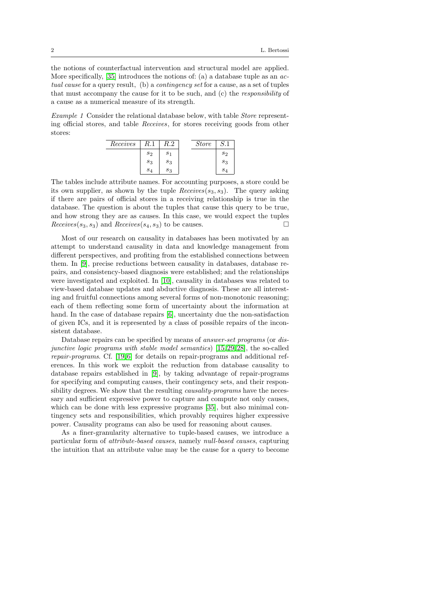the notions of counterfactual intervention and structural model are applied. More specifically, [\[35\]](#page-31-2) introduces the notions of: (a) a database tuple as an actual cause for a query result, (b) a contingency set for a cause, as a set of tuples that must accompany the cause for it to be such, and (c) the responsibility of a cause as a numerical measure of its strength.

<span id="page-1-0"></span>Example 1 Consider the relational database below, with table Store representing official stores, and table Receives, for stores receiving goods from other stores:

| Receives | R.1   | R.2   | <b>Store</b> |       |
|----------|-------|-------|--------------|-------|
|          | $s_2$ | $s_1$ |              | $s_2$ |
|          | $s_3$ | $s_3$ |              | $s_3$ |
|          | $s_4$ | $s_3$ |              | $s_4$ |

The tables include attribute names. For accounting purposes, a store could be its own supplier, as shown by the tuple  $Receives(s_3, s_3)$ . The query asking if there are pairs of official stores in a receiving relationship is true in the database. The question is about the tuples that cause this query to be true, and how strong they are as causes. In this case, we would expect the tuples  $Receives(s_3, s_3)$  and  $Receives(s_4, s_3)$  to be causes.

Most of our research on causality in databases has been motivated by an attempt to understand causality in data and knowledge management from different perspectives, and profiting from the established connections between them. In [\[9\]](#page-30-0), precise reductions between causality in databases, database repairs, and consistency-based diagnosis were established; and the relationships were investigated and exploited. In [\[10\]](#page-30-1), causality in databases was related to view-based database updates and abductive diagnosis. These are all interesting and fruitful connections among several forms of non-monotonic reasoning; each of them reflecting some form of uncertainty about the information at hand. In the case of database repairs [\[6\]](#page-30-2), uncertainty due the non-satisfaction of given ICs, and it is represented by a class of possible repairs of the inconsistent database.

Database repairs can be specified by means of answer-set programs (or disjunctive logic programs with stable model semantics) [\[15,](#page-31-3) [29,](#page-31-4) [28\]](#page-31-5), the so-called repair-programs. Cf. [\[19,](#page-31-6) [6\]](#page-30-2) for details on repair-programs and additional references. In this work we exploit the reduction from database causality to database repairs established in [\[9\]](#page-30-0), by taking advantage of repair-programs for specifying and computing causes, their contingency sets, and their responsibility degrees. We show that the resulting *causality-programs* have the necessary and sufficient expressive power to capture and compute not only causes, which can be done with less expressive programs [\[35\]](#page-31-2), but also minimal contingency sets and responsibilities, which provably requires higher expressive power. Causality programs can also be used for reasoning about causes.

As a finer-granularity alternative to tuple-based causes, we introduce a particular form of attribute-based causes, namely null-based causes, capturing the intuition that an attribute value may be the cause for a query to become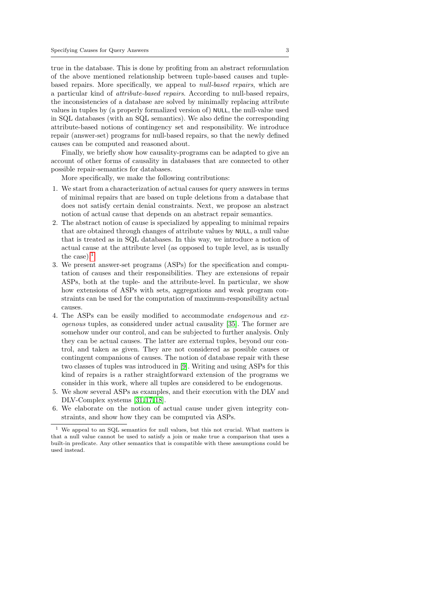true in the database. This is done by profiting from an abstract reformulation of the above mentioned relationship between tuple-based causes and tuplebased repairs. More specifically, we appeal to null-based repairs, which are a particular kind of attribute-based repairs. According to null-based repairs, the inconsistencies of a database are solved by minimally replacing attribute values in tuples by (a properly formalized version of) NULL, the null-value used in SQL databases (with an SQL semantics). We also define the corresponding attribute-based notions of contingency set and responsibility. We introduce repair (answer-set) programs for null-based repairs, so that the newly defined causes can be computed and reasoned about.

Finally, we briefly show how causality-programs can be adapted to give an account of other forms of causality in databases that are connected to other possible repair-semantics for databases.

More specifically, we make the following contributions:

- 1. We start from a characterization of actual causes for query answers in terms of minimal repairs that are based on tuple deletions from a database that does not satisfy certain denial constraints. Next, we propose an abstract notion of actual cause that depends on an abstract repair semantics.
- 2. The abstract notion of cause is specialized by appealing to minimal repairs that are obtained through changes of attribute values by NULL, a null value that is treated as in SQL databases. In this way, we introduce a notion of actual cause at the attribute level (as opposed to tuple level, as is usually the case). $<sup>1</sup>$  $<sup>1</sup>$  $<sup>1</sup>$ </sup>
- 3. We present answer-set programs (ASPs) for the specification and computation of causes and their responsibilities. They are extensions of repair ASPs, both at the tuple- and the attribute-level. In particular, we show how extensions of ASPs with sets, aggregations and weak program constraints can be used for the computation of maximum-responsibility actual causes.
- 4. The ASPs can be easily modified to accommodate endogenous and exogenous tuples, as considered under actual causality [\[35\]](#page-31-2). The former are somehow under our control, and can be subjected to further analysis. Only they can be actual causes. The latter are external tuples, beyond our control, and taken as given. They are not considered as possible causes or contingent companions of causes. The notion of database repair with these two classes of tuples was introduced in [\[9\]](#page-30-0). Writing and using ASPs for this kind of repairs is a rather straightforward extension of the programs we consider in this work, where all tuples are considered to be endogenous.
- 5. We show several ASPs as examples, and their execution with the DLV and DLV-Complex systems [\[31,](#page-31-7) [17,](#page-31-8) [18\]](#page-31-9).
- 6. We elaborate on the notion of actual cause under given integrity constraints, and show how they can be computed via ASPs.

<span id="page-2-0"></span><sup>1</sup> We appeal to an SQL semantics for null values, but this not crucial. What matters is that a null value cannot be used to satisfy a join or make true a comparison that uses a built-in predicate. Any other semantics that is compatible with these assumptions could be used instead.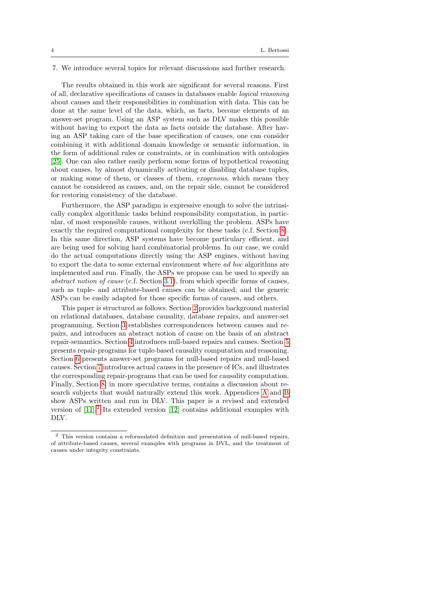## 7. We introduce several topics for relevant discussions and further research.

The results obtained in this work are significant for several reasons. First of all, declarative specifications of causes in databases enable logical reasoning about causes and their responsibilities in combination with data. This can be done at the same level of the data, which, as facts, become elements of an answer-set program. Using an ASP system such as DLV makes this possible without having to export the data as facts outside the database. After having an ASP taking care of the base specification of causes, one can consider combining it with additional domain knowledge or semantic information, in the form of additional rules or constraints, or in combination with ontologies [\[25\]](#page-31-10). One can also rather easily perform some forms of hypothetical reasoning about causes, by almost dynamically activating or disabling database tuples, or making some of them, or classes of them, exogenous, which means they cannot be considered as causes, and, on the repair side, cannot be considered for restoring consistency of the database.

Furthermore, the ASP paradigm is expressive enough to solve the intrinsically complex algorithmic tasks behind responsibility computation, in particular, of most responsible causes, without overkilling the problem. ASPs have exactly the required computational complexity for these tasks (c.f. Section [8\)](#page-28-0). In this same direction, ASP systems have become particulary efficient, and are being used for solving hard combinatorial problems. In our case, we could do the actual computations directly using the ASP engines, without having to export the data to some external environment where ad hoc algorithms are implemented and run. Finally, the ASPs we propose can be used to specify an abstract notion of cause (c.f. Section [3.1\)](#page-10-0), from which specific forms of causes, such as tuple- and attribute-based causes can be obtained; and the generic ASPs can be easily adapted for those specific forms of causes, and others.

This paper is structured as follows. Section [2](#page-4-0) provides background material on relational databases, database causality, database repairs, and answer-set programming. Section [3](#page-7-0) establishes correspondences between causes and repairs, and introduces an abstract notion of cause on the basis of an abstract repair-semantics. Section [4](#page-11-0) introduces null-based repairs and causes. Section [5](#page-16-0) presents repair-programs for tuple-based causality computation and reasoning. Section [6](#page-22-0) presents answer-set programs for null-based repairs and null-based causes. Section [7](#page-27-0) introduces actual causes in the presence of ICs, and illustrates the corresponding repair-programs that can be used for causality computation. Finally, Section [8,](#page-28-0) in more speculative terms, contains a discussion about research subjects that would naturally extend this work. Appendices [A](#page-32-0) and [B](#page-36-0) show ASPs written and run in DLV. This paper is a revised and extended version of  $[11]$ <sup>[2](#page-3-0)</sup> Its extended version  $[12]$  contains additional examples with DLV.

<span id="page-3-0"></span><sup>2</sup> This version contains a reformulated definition and presentation of null-based repairs, of attribute-based causes, several examples with programs in DVL, and the treatment of causes under integrity constraints.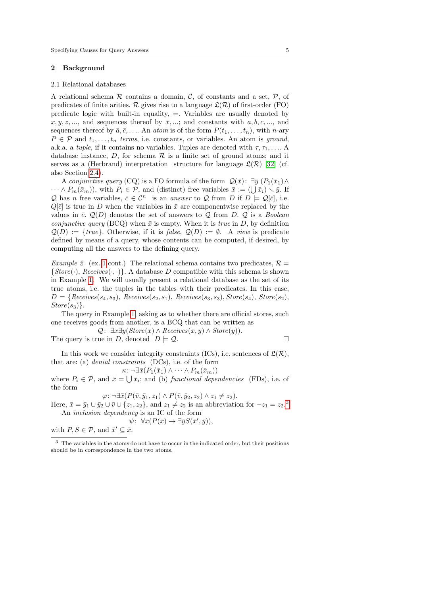# <span id="page-4-0"></span>2 Background

### 2.1 Relational databases

A relational schema  $R$  contains a domain,  $C$ , of constants and a set,  $P$ , of predicates of finite arities. R gives rise to a language  $\mathfrak{L}(\mathcal{R})$  of first-order (FO) predicate logic with built-in equality, =. Variables are usually denoted by  $x, y, z, \dots$ , and sequences thereof by  $\bar{x}, \dots$ ; and constants with  $a, b, c, \dots$ , and sequences thereof by  $\bar{a}, \bar{c}, \ldots$  An *atom* is of the form  $P(t_1, \ldots, t_n)$ , with *n*-ary  $P \in \mathcal{P}$  and  $t_1, \ldots, t_n$  terms, i.e. constants, or variables. An atom is ground, a.k.a. a tuple, if it contains no variables. Tuples are denoted with  $\tau$ ,  $\tau$ <sub>1</sub>, ... A database instance,  $D$ , for schema  $\mathcal R$  is a finite set of ground atoms; and it serves as a (Herbrand) interpretation structure for language  $\mathfrak{L}(\mathcal{R})$  [\[32\]](#page-31-13) (cf. also Section [2.4\)](#page-7-1).

A conjunctive query (CQ) is a FO formula of the form  $\mathcal{Q}(\bar{x})$ :  $\exists \bar{y}$   $(P_1(\bar{x}_1) \wedge$  $\cdots \wedge P_m(\bar{x}_m)$ , with  $P_i \in \mathcal{P}$ , and (distinct) free variables  $\bar{x} := (\bigcup \bar{x}_i) \setminus \bar{y}$ . If Q has n free variables,  $\bar{c} \in \mathcal{C}^n$  is an answer to Q from D if  $D \models \mathcal{Q}[\bar{c}]$ , i.e.  $Q[\bar{c}]$  is true in D when the variables in  $\bar{x}$  are componentwise replaced by the values in  $\bar{c}$ .  $\mathcal{Q}(D)$  denotes the set of answers to  $\mathcal Q$  from D.  $\mathcal Q$  is a *Boolean conjunctive query* (BCQ) when  $\bar{x}$  is empty. When it is *true* in D, by definition  $Q(D) := \{true\}$ . Otherwise, if it is *false*,  $Q(D) := \emptyset$ . A *view* is predicate defined by means of a query, whose contents can be computed, if desired, by computing all the answers to the defining query.

<span id="page-4-2"></span>Example 2 (ex. [1](#page-1-0) cont.) The relational schema contains two predicates,  $\mathcal{R} =$  ${Store(\cdot)}$ ,  $Receives(\cdot, \cdot)$ . A database D compatible with this schema is shown in Example [1.](#page-1-0) We will usually present a relational database as the set of its true atoms, i.e. the tuples in the tables with their predicates. In this case,  $D = \{Receives(s_4, s_3), Receives(s_2, s_1), Receives(s_3, s_3), Store(s_4), Store(s_2),\}$  $Store(s_3)$ .

The query in Example [1,](#page-1-0) asking as to whether there are official stores, such one receives goods from another, is a BCQ that can be written as

 $\mathcal{Q}: \exists x \exists y (Store(x) \land Receives(x, y) \land Store(y)).$ 

The query is true in D, denoted  $D \models Q$ .

In this work we consider integrity constraints (ICs), i.e. sentences of  $\mathfrak{L}(\mathcal{R})$ , that are: (a) denial constraints (DCs), i.e. of the form

$$
\kappa\colon \neg\exists\bar{x}(P_1(\bar{x}_1)\wedge\cdots\wedge P_m(\bar{x}_m))
$$

where  $P_i \in \mathcal{P}$ , and  $\bar{x} = \bigcup \bar{x}_i$ ; and (b) functional dependencies (FDs), i.e. of the form

 $\varphi: \neg \exists \bar{x}(P(\bar{v}, \bar{y}_1, z_1) \wedge P(\bar{v}, \bar{y}_2, z_2) \wedge z_1 \neq z_2).$ Here,  $\bar{x} = \bar{y}_1 \cup \bar{y}_2 \cup \bar{v} \cup \{z_1, z_2\}$ , and  $z_1 \neq z_2$  is an abbreviation for  $\neg z_1 = z_2$ .<sup>[3](#page-4-1)</sup> An inclusion dependency is an IC of the form

 $\psi: \ \forall \bar{x}(P(\bar{x}) \rightarrow \exists \bar{y}S(\bar{x}', \bar{y})),$ 

with  $P, S \in \mathcal{P}$ , and  $\bar{x}' \subseteq \bar{x}$ .

<span id="page-4-1"></span><sup>3</sup> The variables in the atoms do not have to occur in the indicated order, but their positions should be in correspondence in the two atoms.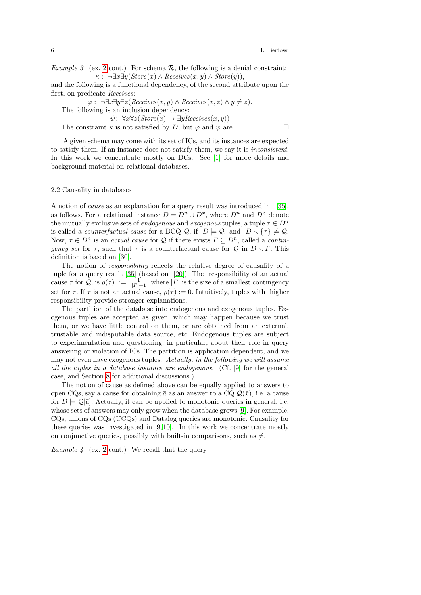*Example 3* (ex. [2](#page-4-2) cont.) For schema  $\mathcal{R}$ , the following is a denial constraint:  $\kappa$  :  $\neg \exists x \exists y (Store(x) \land Receives(x, y) \land Store(y)),$ 

and the following is a functional dependency, of the second attribute upon the first, on predicate Receives:

 $\varphi$ : ¬ $\exists x \exists y \exists z (Receives(x, y) \land Receives(x, z) \land y \neq z).$ The following is an inclusion dependency:  $\psi: \forall x \forall z (Store(x) \rightarrow \exists y Receives(x, y))$ 

The constraint  $\kappa$  is not satisfied by D, but  $\varphi$  and  $\psi$  are.

A given schema may come with its set of ICs, and its instances are expected to satisfy them. If an instance does not satisfy them, we say it is inconsistent. In this work we concentrate mostly on DCs. See [\[1\]](#page-30-3) for more details and background material on relational databases.

## <span id="page-5-0"></span>2.2 Causality in databases

A notion of cause as an explanation for a query result was introduced in [\[35\]](#page-31-2), as follows. For a relational instance  $D = D^n \cup D^x$ , where  $D^n$  and  $D^x$  denote the mutually exclusive sets of *endogenous* and *exogenous* tuples, a tuple  $\tau \in D^n$ is called a *counterfactual cause* for a BCQ Q, if  $D \models Q$  and  $D \setminus \{\tau\} \not\models Q$ . Now,  $\tau \in D^n$  is an *actual cause* for Q if there exists  $\Gamma \subseteq D^n$ , called a *contin*gency set for  $\tau$ , such that  $\tau$  is a counterfactual cause for  $\mathcal{Q}$  in  $D \setminus \Gamma$ . This definition is based on [\[30\]](#page-31-0).

The notion of responsibility reflects the relative degree of causality of a tuple for a query result [\[35\]](#page-31-2) (based on [\[20\]](#page-31-1)). The responsibility of an actual cause  $\tau$  for  $\mathcal{Q}$ , is  $\rho(\tau) := \frac{1}{|\Gamma|+1}$ , where  $|\Gamma|$  is the size of a smallest contingency set for  $\tau$ . If  $\tau$  is not an actual cause,  $\rho(\tau) := 0$ . Intuitively, tuples with higher responsibility provide stronger explanations.

The partition of the database into endogenous and exogenous tuples. Exogenous tuples are accepted as given, which may happen because we trust them, or we have little control on them, or are obtained from an external, trustable and indisputable data source, etc. Endogenous tuples are subject to experimentation and questioning, in particular, about their role in query answering or violation of ICs. The partition is application dependent, and we may not even have exogenous tuples. Actually, in the following we will assume all the tuples in a database instance are endogenous. (Cf. [\[9\]](#page-30-0) for the general case, and Section [8](#page-28-0) for additional discussions.)

The notion of cause as defined above can be equally applied to answers to open CQs, say a cause for obtaining  $\bar{a}$  as an answer to a CQ  $\mathcal{Q}(\bar{x})$ , i.e. a cause for  $D \models \mathcal{Q}[\bar{a}]$ . Actually, it can be applied to monotonic queries in general, i.e. whose sets of answers may only grow when the database grows [\[9\]](#page-30-0). For example, CQs, unions of CQs (UCQs) and Datalog queries are monotonic. Causality for these queries was investigated in  $(9, 10)$ . In this work we concentrate mostly on conjunctive queries, possibly with built-in comparisons, such as  $\neq$ .

<span id="page-5-1"></span>*Example 4* (ex. [2](#page-4-2) cont.) We recall that the query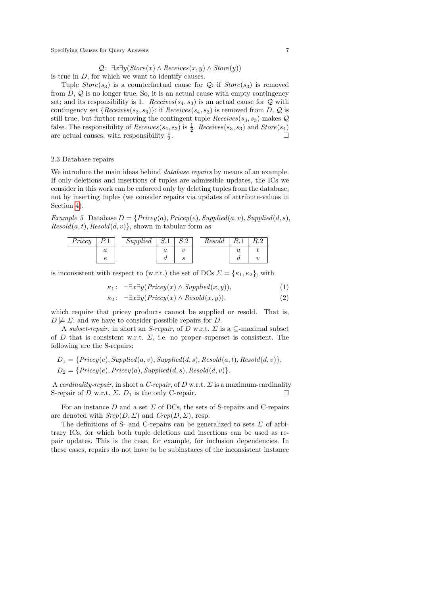$\mathcal{Q}: \exists x \exists y (Store(x) \land Receives(x, y) \land Store(y))$ 

is true in  $D$ , for which we want to identify causes.

Tuple  $Store(s_3)$  is a counterfactual cause for  $Q$ : if  $Store(s_3)$  is removed from  $D, Q$  is no longer true. So, it is an actual cause with empty contingency set; and its responsibility is 1. Receives( $s_4, s_3$ ) is an actual cause for Q with contingency set  $\{Receives(s_3, s_3)\}\$ : if  $Receives(s_4, s_3)$  is removed from D, Q is still true, but further removing the contingent tuple  $Receives(s_3, s_3)$  makes  $Q$ false. The responsibility of  $Receives(s_4, s_3)$  is  $\frac{1}{2}$ .  $Receives(s_3, s_3)$  and  $Store(s_4)$ are actual causes, with responsibility  $\frac{1}{2}$ .

## <span id="page-6-0"></span>2.3 Database repairs

We introduce the main ideas behind *database repairs* by means of an example. If only deletions and insertions of tuples are admissible updates, the ICs we consider in this work can be enforced only by deleting tuples from the database, not by inserting tuples (we consider repairs via updates of attribute-values in Section [4\)](#page-11-0).

<span id="page-6-1"></span>Example 5 Database  $D = \{Pricey(a), Pricey(e), Supplement(a, v), Supplement(d, s),\}$  $Resold(a, t), Resold(d, v)$ , shown in tabular form as

| Pricey |          | Supplied | $\cup$ .1 | റ പ<br>$\cup \cdot \triangle$ | Resold | 1 t.a    |  |
|--------|----------|----------|-----------|-------------------------------|--------|----------|--|
|        | $\bm{u}$ |          | u         |                               |        | $\bm{u}$ |  |
|        |          |          |           |                               |        | w        |  |

is inconsistent with respect to (w.r.t.) the set of DCs  $\Sigma = {\kappa_1, \kappa_2}$ , with

<span id="page-6-2"></span>
$$
\kappa_1: \quad \neg \exists x \exists y (Pricey(x) \land Supplied(x, y)), \tag{1}
$$

$$
\kappa_2: \quad \neg \exists x \exists y (Pricey(x) \land Resold(x, y)), \tag{2}
$$

which require that pricey products cannot be supplied or resold. That is,  $D \not\models \Sigma$ ; and we have to consider possible repairs for D.

A subset-repair, in short an S-repair, of D w.r.t.  $\Sigma$  is a  $\subseteq$ -maximal subset of D that is consistent w.r.t.  $\Sigma$ , i.e. no proper superset is consistent. The following are the S-repairs:

$$
D_1 = \{Pricey(e), Supplement(a, v), Supplement(d, s), Resold(a, t), Resold(d, v) \},
$$
  

$$
D_2 = \{ Pricey(e), Pricey(a), Supplement(d, s), Resold(d, v) \}.
$$

A cardinality-repair, in short a C-repair, of D w.r.t.  $\Sigma$  is a maximum-cardinality S-repair of D w.r.t.  $\Sigma$ .  $D_1$  is the only C-repair.

For an instance  $D$  and a set  $\Sigma$  of DCs, the sets of S-repairs and C-repairs are denoted with  $Srep(D, \Sigma)$  and  $Crep(D, \Sigma)$ , resp.

The definitions of S- and C-repairs can be generalized to sets  $\Sigma$  of arbitrary ICs, for which both tuple deletions and insertions can be used as repair updates. This is the case, for example, for inclusion dependencies. In these cases, repairs do not have to be subinstaces of the inconsistent instance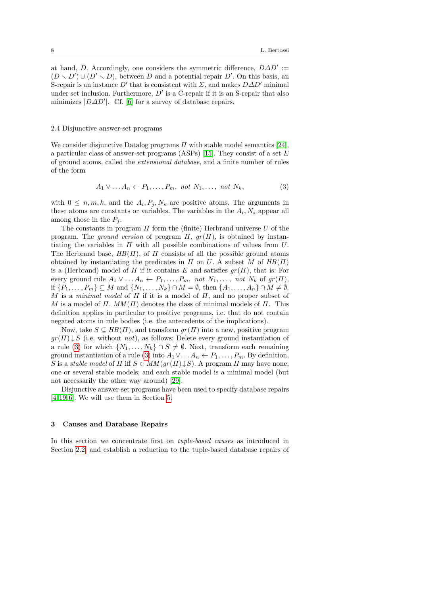at hand, D. Accordingly, one considers the symmetric difference,  $D\Delta D' :=$  $(D \setminus D') \cup (D' \setminus D)$ , between D and a potential repair D'. On this basis, an S-repair is an instance  $D'$  that is consistent with  $\Sigma$ , and makes  $D\Delta D'$  minimal under set inclusion. Furthermore,  $D'$  is a C-repair if it is an S-repair that also minimizes  $|D\Delta D'|$ . Cf. [\[6\]](#page-30-2) for a survey of database repairs.

## <span id="page-7-1"></span>2.4 Disjunctive answer-set programs

We consider disjunctive Datalog programs  $\Pi$  with stable model semantics [\[24\]](#page-31-14), a particular class of answer-set programs (ASPs) [\[15\]](#page-31-3). They consist of a set E of ground atoms, called the extensional database, and a finite number of rules of the form

<span id="page-7-2"></span>
$$
A_1 \vee \ldots A_n \leftarrow P_1, \ldots, P_m, \text{ not } N_1, \ldots, \text{ not } N_k,\tag{3}
$$

with  $0 \leq n, m, k$ , and the  $A_i, P_j, N_s$  are positive atoms. The arguments in these atoms are constants or variables. The variables in the  $A_i, N_s$  appear all among those in the  $P_i$ .

The constants in program  $\Pi$  form the (finite) Herbrand universe  $U$  of the program. The ground version of program  $\Pi$ ,  $gr(\Pi)$ , is obtained by instantiating the variables in  $\Pi$  with all possible combinations of values from  $U$ . The Herbrand base,  $HB(\Pi)$ , of  $\Pi$  consists of all the possible ground atoms obtained by instantiating the predicates in  $\Pi$  on  $U$ . A subset  $M$  of  $HB(\Pi)$ is a (Herbrand) model of  $\Pi$  if it contains E and satisfies  $gr(\Pi)$ , that is: For every ground rule  $A_1 \vee \ldots A_n \leftarrow P_1, \ldots, P_m$ , not  $N_1, \ldots, n$  not  $N_k$  of  $gr(\Pi)$ , if  $\{P_1, \ldots, P_m\} \subseteq M$  and  $\{N_1, \ldots, N_k\} \cap M = \emptyset$ , then  $\{A_1, \ldots, A_n\} \cap M \neq \emptyset$ . M is a minimal model of  $\Pi$  if it is a model of  $\Pi$ , and no proper subset of M is a model of  $\Pi$ . MM $(\Pi)$  denotes the class of minimal models of  $\Pi$ . This definition applies in particular to positive programs, i.e. that do not contain negated atoms in rule bodies (i.e. the antecedents of the implications).

Now, take  $S \subseteq HB(\Pi)$ , and transform  $gr(\Pi)$  into a new, positive program  $gr(\Pi) \downarrow S$  (i.e. without not), as follows: Delete every ground instantiation of a rule [\(3\)](#page-7-2) for which  $\{N_1, \ldots, N_k\} \cap S \neq \emptyset$ . Next, transform each remaining ground instantiation of a rule [\(3\)](#page-7-2) into  $A_1 \vee \ldots A_n \leftarrow P_1, \ldots, P_m$ . By definition, S is a stable model of  $\Pi$  iff  $S \in MM(qr(\Pi) \downarrow S)$ . A program  $\Pi$  may have none, one or several stable models; and each stable model is a minimal model (but not necessarily the other way around) [\[29\]](#page-31-4).

Disjunctive answer-set programs have been used to specify database repairs [\[4,](#page-30-4) [19,](#page-31-6) [6\]](#page-30-2). We will use them in Section [5.](#page-16-0)

## <span id="page-7-0"></span>3 Causes and Database Repairs

In this section we concentrate first on tuple-based causes as introduced in Section [2.2,](#page-5-0) and establish a reduction to the tuple-based database repairs of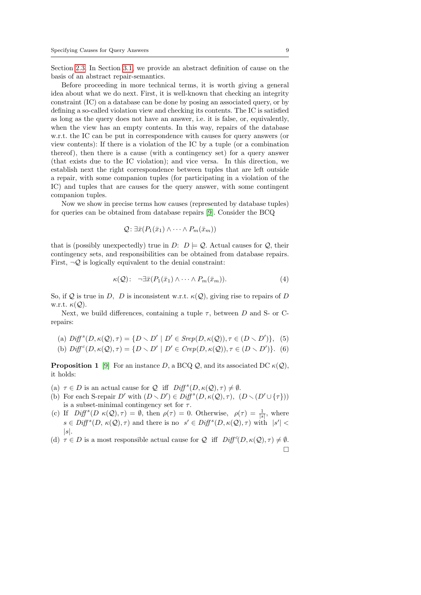Section [2.3.](#page-6-0) In Section [3.1,](#page-10-0) we provide an abstract definition of cause on the basis of an abstract repair-semantics.

Before proceeding in more technical terms, it is worth giving a general idea about what we do next. First, it is well-known that checking an integrity constraint (IC) on a database can be done by posing an associated query, or by defining a so-called violation view and checking its contents. The IC is satisfied as long as the query does not have an answer, i.e. it is false, or, equivalently, when the view has an empty contents. In this way, repairs of the database w.r.t. the IC can be put in correspondence with causes for query answers (or view contents): If there is a violation of the IC by a tuple (or a combination thereof), then there is a cause (with a contingency set) for a query answer (that exists due to the IC violation); and vice versa. In this direction, we establish next the right correspondence between tuples that are left outside a repair, with some companion tuples (for participating in a violation of the IC) and tuples that are causes for the query answer, with some contingent companion tuples.

Now we show in precise terms how causes (represented by database tuples) for queries can be obtained from database repairs [\[9\]](#page-30-0). Consider the BCQ

$$
Q: \exists \bar{x}(P_1(\bar{x}_1) \wedge \cdots \wedge P_m(\bar{x}_m))
$$

that is (possibly unexpectedly) true in  $D: D \models \mathcal{Q}$ . Actual causes for  $\mathcal{Q}$ , their contingency sets, and responsibilities can be obtained from database repairs. First,  $\neg Q$  is logically equivalent to the denial constraint:

$$
\kappa(\mathcal{Q}): \quad \neg \exists \bar{x} (P_1(\bar{x}_1) \wedge \dots \wedge P_m(\bar{x}_m)). \tag{4}
$$

So, if Q is true in D, D is inconsistent w.r.t.  $\kappa(Q)$ , giving rise to repairs of D w.r.t.  $\kappa(Q)$ .

Next, we build differences, containing a tuple  $\tau$ , between D and S- or Crepairs:

- <span id="page-8-0"></span>(a)  $Diff^s(D, \kappa(Q), \tau) = \{D \setminus D' \mid D' \in Step(D, \kappa(Q)), \tau \in (D \setminus D')\},$  (5)
- (b)  $Diff^c(D, \kappa(Q), \tau) = \{D \setminus D' \mid D' \in Crep(D, \kappa(Q)), \tau \in (D \setminus D')\}.$  (6)

<span id="page-8-2"></span>**Proposition 1** [\[9\]](#page-30-0) For an instance D, a BCQ Q, and its associated DC  $\kappa(Q)$ , it holds:

- (a)  $\tau \in D$  is an actual cause for  $\mathcal Q$  iff  $\text{Diff}^s(D,\kappa(\mathcal Q),\tau) \neq \emptyset$ .
- (b) For each S-repair D' with  $(D \setminus D') \in Diff^{s}(D, \kappa(\mathcal{Q}), \tau), (D \setminus (D' \cup \{\tau\}))$ is a subset-minimal contingency set for  $\tau$ .
- (c) If  $Diff^{s}(D \kappa(Q), \tau) = \emptyset$ , then  $\rho(\tau) = 0$ . Otherwise,  $\rho(\tau) = \frac{1}{|s|}$ , where  $s \in \text{Diff}^s(D, \kappa(Q), \tau)$  and there is no  $s' \in \text{Diff}^s(D, \kappa(Q), \tau)$  with  $|s'| <$  $|s|$ .
- <span id="page-8-1"></span>(d)  $\tau \in D$  is a most responsible actual cause for  $\mathcal Q$  iff  $Diff^c(D, \kappa(\mathcal Q), \tau) \neq \emptyset$ .
	- $\Box$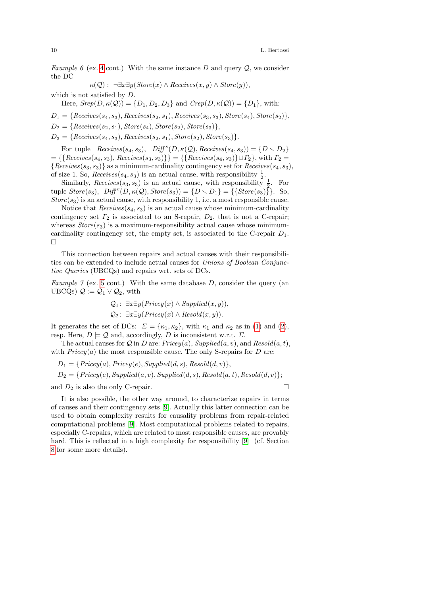Example 6 (ex. [4](#page-5-1) cont.) With the same instance D and query  $\mathcal{Q}$ , we consider the DC

 $\kappa(\mathcal{Q})$ : ¬ $\exists x \exists y (Store(x) \land Receives(x, y) \land Store(y)),$ which is not satisfied by D.

Here,  $Srep(D, \kappa(Q)) = \{D_1, D_2, D_3\}$  and  $Crep(D, \kappa(Q)) = \{D_1\}$ , with:

 $D_1 = \{ \mathit{Receives}(s_4, s_3), \mathit{Receives}(s_2, s_1), \mathit{Receives}(s_3, s_3), \mathit{Store}(s_4), \mathit{Store}(s_2) \},$ 

 $D_2 = \{Receives(s_2, s_1), Store(s_4), Store(s_2), Store(s_3)\},\$ 

 $D_3 = \{Receives(s_4, s_3), Receives(s_2, s_1), Store(s_2), Store(s_3)\}.$ 

For tuple  $Receives(s_4, s_3), Diff^s(D, \kappa(Q), Receives(s_4, s_3)) = \{D \setminus D_2\}$  $=\{\{Receives(s_4, s_3), Receives(s_3, s_3)\}\} = \{\{Receives(s_4, s_3)\}\cup \Gamma_2\},\$  with  $\Gamma_2 =$  ${Receives(s_3, s_3)}$  as a minimum-cardinality contingency set for  $Receives(s_4, s_3)$ , of size 1. So,  $Receives(s_4, s_3)$  is an actual cause, with responsibility  $\frac{1}{2}$ .

Similarly, Receives  $(s_3, s_3)$  is an actual cause, with responsibility  $\frac{1}{2}$ . For tuple  $Store(s_3)$ ,  $Diff^c(D, \kappa(Q), Store(s_3)) = {D \setminus D_1} = {{Store(s_3)}$ . So,  $Store(s<sub>3</sub>)$  is an actual cause, with responsibility 1, i.e. a most responsible cause.

Notice that  $Receives(s_4, s_3)$  is an actual cause whose minimum-cardinality contingency set  $\Gamma_2$  is associated to an S-repair,  $D_2$ , that is not a C-repair; whereas  $Store(s<sub>3</sub>)$  is a maximum-responsibility actual cause whose minimumcardinality contingency set, the empty set, is associated to the C-repair  $D_1$ .  $\Box$ 

This connection between repairs and actual causes with their responsibilities can be extended to include actual causes for Unions of Boolean Conjunctive Queries (UBCQs) and repairs wrt. sets of DCs.

Example  $\gamma$  (ex. [5](#page-6-1) cont.) With the same database D, consider the query (an UBCQs)  $\mathcal{Q} := \mathcal{Q}_1 \vee \mathcal{Q}_2$ , with

$$
Q_1
$$
:  $\exists x \exists y (Pricey(x) \land Supplied(x, y)),$   
 $Q_2$ :  $\exists x \exists y (Pricey(x) \land Resold(x, y)).$ 

It generates the set of DCs:  $\Sigma = {\kappa_1, \kappa_2}$ , with  $\kappa_1$  and  $\kappa_2$  as in [\(1\)](#page-6-2) and [\(2\)](#page-6-2), resp. Here,  $D \models Q$  and, accordingly, D is inconsistent w.r.t.  $\Sigma$ .

The actual causes for  $\mathcal{Q}$  in D are: Pricey(a), Supplied(a, v), and Resold(a, t), with  $Pricey(a)$  the most responsible cause. The only S-repairs for D are:

$$
D_1 = \{Pricey(a), Pricey(e), Supplement(d, s), Resold(d, v) \},
$$
  

$$
D_2 = \{ Pricey(e), Supplement(a, v), Supplement(d, s), Resold(a, t), Resold(d, v) \};
$$

and  $D_2$  is also the only C-repair.

It is also possible, the other way around, to characterize repairs in terms of causes and their contingency sets [\[9\]](#page-30-0). Actually this latter connection can be used to obtain complexity results for causality problems from repair-related computational problems [\[9\]](#page-30-0). Most computational problems related to repairs, especially C-repairs, which are related to most responsible causes, are provably hard. This is reflected in a high complexity for responsibility [\[9\]](#page-30-0) (cf. Section [8](#page-28-0) for some more details).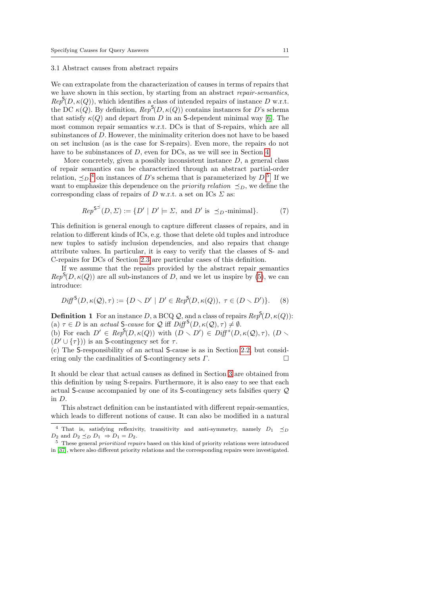#### <span id="page-10-0"></span>3.1 Abstract causes from abstract repairs

We can extrapolate from the characterization of causes in terms of repairs that we have shown in this section, by starting from an abstract repair-semantics,  $Rep<sup>S</sup>(D, \kappa(Q))$ , which identifies a class of intended repairs of instance D w.r.t. the DC  $\kappa(Q)$ . By definition,  $Rep^{\mathsf{S}}(D, \kappa(Q))$  contains instances for D's schema that satisfy  $\kappa(Q)$  and depart from D in an S-dependent minimal way [\[6\]](#page-30-2). The most common repair semantics w.r.t. DCs is that of S-repairs, which are all subinstances of D. However, the minimality criterion does not have to be based on set inclusion (as is the case for S-repairs). Even more, the repairs do not have to be subinstances of D, even for DCs, as we will see in Section [4.](#page-11-0)

More concretely, given a possibly inconsistent instance  $D$ , a general class of repair semantics can be characterized through an abstract partial-order relation,  $\leq_D, ^4$  $\leq_D, ^4$  on instances of D's schema that is parameterized by D.<sup>[5](#page-10-2)</sup> If we want to emphasize this dependence on the *priority relation*  $\prec_D$ , we define the corresponding class of repairs of D w.r.t. a set on ICs  $\Sigma$  as:

$$
Rep^{S^{\preceq}}(D, \Sigma) := \{ D' \mid D' \models \Sigma, \text{ and } D' \text{ is } \preceq_D\text{-minimal} \}. \tag{7}
$$

This definition is general enough to capture different classes of repairs, and in relation to different kinds of ICs, e.g. those that delete old tuples and introduce new tuples to satisfy inclusion dependencies, and also repairs that change attribute values. In particular, it is easy to verify that the classes of S- and C-repairs for DCs of Section [2.3](#page-6-0) are particular cases of this definition.

If we assume that the repairs provided by the abstract repair semantics  $Rep<sup>S</sup>(D, \kappa(Q))$  are all sub-instances of D, and we let us inspire by [\(5\)](#page-8-0), we can introduce:

<span id="page-10-3"></span>
$$
DiffS(D, \kappa(Q), \tau) := \{ D \setminus D' \mid D' \in RepS(D, \kappa(Q)), \ \tau \in (D \setminus D') \}.
$$
 (8)

<span id="page-10-4"></span>**Definition 1** For an instance D, a BCQ Q, and a class of repairs  $Rep^{\mathsf{S}}(D, \kappa(Q))$ : (a)  $\tau \in D$  is an actual S-cause for Q iff  $\text{Diff}^{\mathsf{S}}(D,\kappa(\mathcal{Q}),\tau) \neq \emptyset$ .

(b) For each  $D' \in Rep^{\mathsf{S}}(D,\kappa(Q))$  with  $(D \setminus D') \in Diff^s(D,\kappa(Q),\tau)$ ,  $(D \setminus$  $(D' \cup {\tau})$  is an S-contingency set for  $\tau$ .

(c) The S-responsibility of an actual S-cause is as in Section [2.2,](#page-5-0) but considering only the cardinalities of S-contingency sets  $\Gamma$ .

It should be clear that actual causes as defined in Section [3](#page-7-0) are obtained from this definition by using S-repairs. Furthermore, it is also easy to see that each actual S-cause accompanied by one of its S-contingency sets falsifies query Q in D.

This abstract definition can be instantiated with different repair-semantics, which leads to different notions of cause. It can also be modified in a natural

<span id="page-10-1"></span><sup>&</sup>lt;sup>4</sup> That is, satisfying reflexivity, transitivity and anti-symmetry, namely  $D_1 \preceq_D$  $D_2$  and  $D_2 \preceq_D D_1 \Rightarrow D_1 = D_2$ .

<span id="page-10-2"></span><sup>5</sup> These general prioritized repairs based on this kind of priority relations were introduced in [\[37\]](#page-32-1), where also different priority relations and the corresponding repairs were investigated.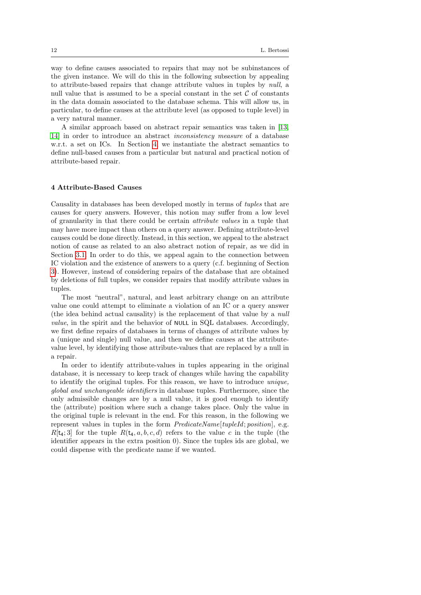way to define causes associated to repairs that may not be subinstances of the given instance. We will do this in the following subsection by appealing to attribute-based repairs that change attribute values in tuples by null, a null value that is assumed to be a special constant in the set  $\mathcal C$  of constants in the data domain associated to the database schema. This will allow us, in particular, to define causes at the attribute level (as opposed to tuple level) in a very natural manner.

A similar approach based on abstract repair semantics was taken in [\[13,](#page-31-15) [14\]](#page-31-16) in order to introduce an abstract inconsistency measure of a database w.r.t. a set on ICs. In Section [4,](#page-11-0) we instantiate the abstract semantics to define null-based causes from a particular but natural and practical notion of attribute-based repair.

## <span id="page-11-0"></span>4 Attribute-Based Causes

Causality in databases has been developed mostly in terms of tuples that are causes for query answers. However, this notion may suffer from a low level of granularity in that there could be certain attribute values in a tuple that may have more impact than others on a query answer. Defining attribute-level causes could be done directly. Instead, in this section, we appeal to the abstract notion of cause as related to an also abstract notion of repair, as we did in Section [3.1.](#page-10-0) In order to do this, we appeal again to the connection between IC violation and the existence of answers to a query (c.f. beginning of Section [3\)](#page-7-0). However, instead of considering repairs of the database that are obtained by deletions of full tuples, we consider repairs that modify attribute values in tuples.

The most "neutral", natural, and least arbitrary change on an attribute value one could attempt to eliminate a violation of an IC or a query answer (the idea behind actual causality) is the replacement of that value by a null value, in the spirit and the behavior of NULL in SQL databases. Accordingly, we first define repairs of databases in terms of changes of attribute values by a (unique and single) null value, and then we define causes at the attributevalue level, by identifying those attribute-values that are replaced by a null in a repair.

In order to identify attribute-values in tuples appearing in the original database, it is necessary to keep track of changes while having the capability to identify the original tuples. For this reason, we have to introduce unique, global and unchangeable identifiers in database tuples. Furthermore, since the only admissible changes are by a null value, it is good enough to identify the (attribute) position where such a change takes place. Only the value in the original tuple is relevant in the end. For this reason, in the following we represent values in tuples in the form  $PredictedName[tupleId; position], e.g.$  $R[t_4,3]$  for the tuple  $R(t_4, a, b, c, d)$  refers to the value c in the tuple (the identifier appears in the extra position 0). Since the tuples ids are global, we could dispense with the predicate name if we wanted.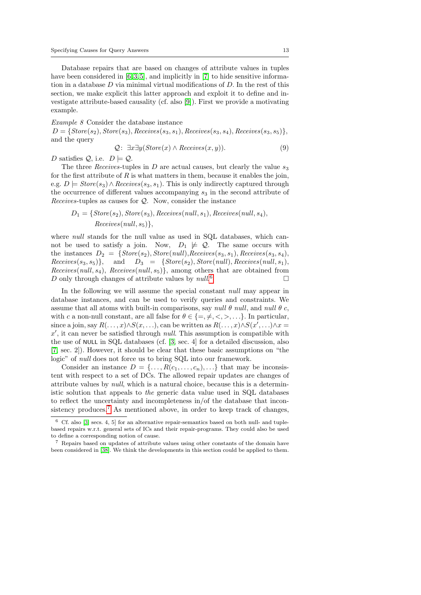Database repairs that are based on changes of attribute values in tuples have been considered in  $[6,3,5]$  $[6,3,5]$ , and implicitly in [\[7\]](#page-30-7) to hide sensitive information in a database  $D$  via minimal virtual modifications of  $D$ . In the rest of this section, we make explicit this latter approach and exploit it to define and investigate attribute-based causality (cf. also [\[9\]](#page-30-0)). First we provide a motivating example.

## <span id="page-12-2"></span>Example 8 Consider the database instance

 $D = \{Store(s_2), Store(s_3), receives(s_3, s_1), receives(s_3, s_4), receives(s_3, s_5)\},\}$ and the query

<span id="page-12-3"></span>
$$
Q: \exists x \exists y (Store(x) \land Receives(x, y)). \tag{9}
$$

D satisfies  $Q$ , i.e.  $D \models Q$ .

The three Receives-tuples in  $D$  are actual causes, but clearly the value  $s_3$ for the first attribute of  $R$  is what matters in them, because it enables the join, e.g.  $D \models Store(s_3) \land Receives(s_3, s_1)$ . This is only indirectly captured through the occurrence of different values accompanying  $s_3$  in the second attribute of Receives-tuples as causes for  $Q$ . Now, consider the instance

$$
D_1 = \{Store(s_2), Store(s_3), Receives(null, s_1), Receives(null, s_4),
$$
  
Receives(null, s\_5)\},

where *null* stands for the null value as used in SQL databases, which cannot be used to satisfy a join. Now,  $D_1 \not\models Q$ . The same occurs with the instances  $D_2 = \{Store(s_2), Store(null), receives(s_3, s_1), receives(s_3, s_4),\}$  $Receives(s_3, s_5)$ , and  $D_3 = {Store(s_2), Store(null), Receives(null, s_1),$  $Receives(null, s<sub>4</sub>),$   $Receives(null, s<sub>5</sub>)\}$ , among others that are obtained from D only through changes of attribute values by  $null<sup>6</sup>$  $\overline{6}$  $\overline{6}$  $\overline{6}$ 

In the following we will assume the special constant *null* may appear in database instances, and can be used to verify queries and constraints. We assume that all atoms with built-in comparisons, say null  $\theta$  null, and null  $\theta$  c, with c a non-null constant, are all false for  $\theta \in \{ =, \neq, \leq, >, \ldots \}$ . In particular, since a join, say  $R(\ldots,x) \wedge S(x,\ldots)$ , can be written as  $R(\ldots,x) \wedge S(x',\ldots) \wedge x =$  $x'$ , it can never be satisfied through *null*. This assumption is compatible with the use of NULL in SQL databases (cf. [\[3,](#page-30-5) sec. 4] for a detailed discussion, also [\[7,](#page-30-7) sec. 2]). However, it should be clear that these basic assumptions on "the logic" of null does not force us to bring SQL into our framework.

Consider an instance  $D = \{ \ldots, R(c_1, \ldots, c_n), \ldots \}$  that may be inconsistent with respect to a set of DCs. The allowed repair updates are changes of attribute values by null, which is a natural choice, because this is a deterministic solution that appeals to the generic data value used in SQL databases to reflect the uncertainty and incompleteness in/of the database that incon-sistency produces.<sup>[7](#page-12-1)</sup> As mentioned above, in order to keep track of changes,

<span id="page-12-0"></span><sup>6</sup> Cf. also [\[3,](#page-30-5) secs. 4, 5] for an alternative repair-semantics based on both null- and tuplebased repairs w.r.t. general sets of ICs and their repair-programs. They could also be used to define a corresponding notion of cause.

<span id="page-12-1"></span><sup>7</sup> Repairs based on updates of attribute values using other constants of the domain have been considered in [\[38\]](#page-32-2). We think the developments in this section could be applied to them.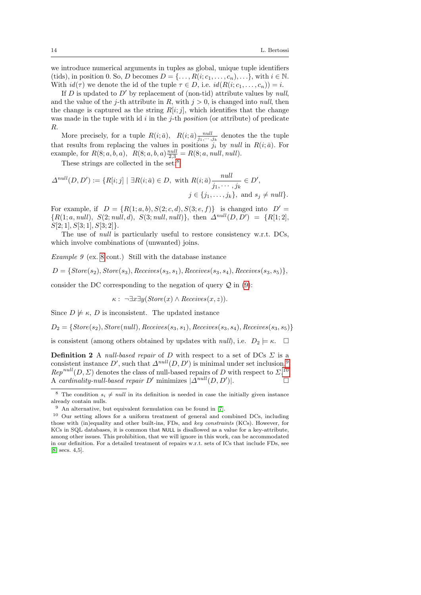we introduce numerical arguments in tuples as global, unique tuple identifiers (tids), in position 0. So, D becomes  $D = \{ \ldots, R(i; c_1, \ldots, c_n), \ldots \}$ , with  $i \in \mathbb{N}$ . With  $id(\tau)$  we denote the id of the tuple  $\tau \in D$ , i.e.  $id(R(i; c_1, \ldots, c_n)) = i$ .

If D is updated to  $D'$  by replacement of (non-tid) attribute values by null, and the value of the *j*-th attribute in R, with  $j > 0$ , is changed into *null*, then the change is captured as the string  $R[i; j]$ , which identifies that the change was made in the tuple with id  $i$  in the  $j$ -th *position* (or attribute) of predicate R.

More precisely, for a tuple  $R(i; \bar{a})$ ,  $R(i; \bar{a})$ <sub>j<sub>1</sub>,...,j<sub>k</sub></sup> denotes the the tuple</sub> that results from replacing the values in positions  $j_i$  by null in  $R(i; \bar{a})$ . For example, for  $R(8; a, b, a)$ ,  $R(8; a, b, a) \frac{null}{2,3} = R(8; a, null, null)$ .

These strings are collected in the set:<sup>[8](#page-13-0)</sup>

 $\Delta^{null}(D, D') := \{R[i; j] \mid \exists R(i; \bar{a}) \in D, \text{ with } R(i; \bar{a}) \frac{null}{\cdots}$  $\frac{1}{j_1,\cdots,j_k}\in D',$  $j \in \{j_1, \ldots, j_k\}$ , and  $s_j \neq null\}$ .

For example, if  $D = \{R(1; a, b), S(2; c, d), S(3; e, f)\}\$ is changed into  $D' =$  ${R(1; a, null), S(2; null, d), S(3; null, null)}$ , then  $\Delta^{null}(D, D') = {R[1; 2]}$ ,  $S[2; 1], S[3; 1], S[3; 2]$ .

The use of *null* is particularly useful to restore consistency w.r.t. DCs, which involve combinations of (unwanted) joins.

<span id="page-13-3"></span>Example 9 (ex. [8](#page-12-2) cont.) Still with the database instance

 $D = \{Store(s_2), Store(s_3), Receiver(s_3, s_1), Receiver(s_3, s_4), Receiver(s_3, s_5)\},$ 

consider the DC corresponding to the negation of query  $\mathcal Q$  in [\(9\)](#page-12-3):

 $\kappa$  :  $\neg \exists x \exists y (Store(x) \land Receives(x, z)).$ 

Since  $D \not\models \kappa$ , D is inconsistent. The updated instance

 $D_2 = \{Store(s_2), Store(null), receives(s_3, s_1), receives(s_3, s_4), receives(s_3, s_5)\}$ 

is consistent (among others obtained by updates with *null*), i.e.  $D_2 \models \kappa$ .  $\Box$ 

**Definition 2** A null-based repair of D with respect to a set of DCs  $\Sigma$  is a consistent instance D', such that  $\Delta^{null}(D, D')$  is minimal under set inclusion.<sup>[9](#page-13-1)</sup>  $Rep<sup>null</sup>(D, \Sigma)$  denotes the class of null-based repairs of D with respect to  $\Sigma<sup>10</sup>$  $\Sigma<sup>10</sup>$  $\Sigma<sup>10</sup>$ A cardinality-null-based repair D' minimizes  $|\Delta^{null}(D, D')|$ .

<span id="page-13-0"></span><sup>&</sup>lt;sup>8</sup> The condition  $s_i \neq null$  in its definition is needed in case the initially given instance already contain nulls.

<span id="page-13-2"></span><span id="page-13-1"></span><sup>9</sup> An alternative, but equivalent formulation can be found in [\[7\]](#page-30-7).

<sup>10</sup> Our setting allows for a uniform treatment of general and combined DCs, including those with (in)equality and other built-ins, FDs, and key constraints (KCs). However, for KCs in SQL databases, it is common that NULL is disallowed as a value for a key-attribute, among other issues. This prohibition, that we will ignore in this work, can be accommodated in our definition. For a detailed treatment of repairs w.r.t. sets of ICs that include FDs, see [\[8,](#page-30-8) secs. 4,5].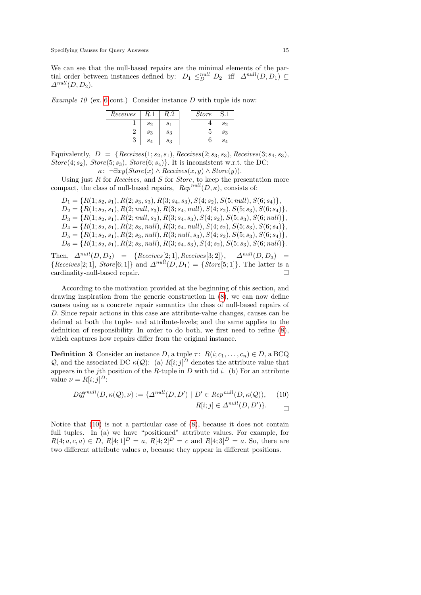We can see that the null-based repairs are the minimal elements of the partial order between instances defined by:  $D_1 \leq_D^{null} D_2$  iff  $\Delta^{null}(D, D_1) \subseteq$  $\Delta^{null}(D, D_2)$ .

<span id="page-14-1"></span>Example 10 (ex. [6](#page-8-1) cont.) Consider instance  $D$  with tuple ids now:

| Receives | R.1               |       | <b>Store</b> |       |
|----------|-------------------|-------|--------------|-------|
|          | $s_2$             |       |              | $s_2$ |
|          | $s_3$             | $s_3$ | G            | $s_3$ |
|          | $S_{\mathcal{A}}$ | $s_3$ |              | $s_4$ |

Equivalently,  $D = \{Receives(1; s_2, s_1), Receives(2; s_3, s_3), Receives(3; s_4, s_3),\}$ Store $(4; s_2)$ , Store $(5; s_3)$ , Store $(6; s_4)$ . It is inconsistent w.r.t. the DC:

 $\kappa$ : ¬ $\exists xy(Store(x) \wedge Receives(x, y) \wedge Store(y)).$ 

Using just  $R$  for  $Receives$ , and  $S$  for  $Store$ , to keep the presentation more compact, the class of null-based repairs,  $\mathbb{R}e^{null}(D, \kappa)$ , consists of:

 $D_1 = \{R(1; s_2, s_1), R(2; s_3, s_3), R(3; s_4, s_3), S(4; s_2), S(5; null), S(6; s_4)\},\$  $D_2 = \{R(1; s_2, s_1), R(2; null, s_3), R(3; s_4, null), S(4; s_2), S(5; s_3), S(6; s_4)\},\$  $D_3 = \{R(1; s_2, s_1), R(2; null, s_3), R(3; s_4, s_3), S(4; s_2), S(5; s_3), S(6; null)\},\$  $D_4 = \{R(1; s_2, s_1), R(2; s_3, null), R(3; s_4, null), S(4; s_2), S(5; s_3), S(6; s_4)\},\$  $D_5 = \{R(1; s_2, s_1), R(2; s_3, null), R(3; null, s_3), S(4; s_2), S(5; s_3), S(6; s_4)\},\$  $D_6 = \{R(1; s_2, s_1), R(2; s_3, null), R(3; s_4, s_3), S(4; s_2), S(5; s_3), S(6; null)\}.$ 

Then,  $\Delta^{null}(D, D_2)$  = {Receives[2; 1], Receives[3; 2]},  $\Delta^{null}(D, D_3)$  =  ${Receives}[2; 1], Store[6; 1]$  and  $\Delta^{null}(D, D_1) = {Store[5; 1]}$ . The latter is a cardinality-null-based repair.

According to the motivation provided at the beginning of this section, and drawing inspiration from the generic construction in [\(8\)](#page-10-3), we can now define causes using as a concrete repair semantics the class of null-based repairs of D. Since repair actions in this case are attribute-value changes, causes can be defined at both the tuple- and attribute-levels; and the same applies to the definition of responsibility. In order to do both, we first need to refine [\(8\)](#page-10-3), which captures how repairs differ from the original instance.

**Definition 3** Consider an instance D, a tuple  $\tau$ :  $R(i; c_1, \ldots, c_n) \in D$ , a BCQ Q, and the associated DC  $\kappa(Q)$ : (a)  $R[i;j]^D$  denotes the attribute value that appears in the j<sup>th</sup> position of the R-tuple in  $D$  with tid i. (b) For an attribute value  $\nu = R[i;j]^{D}$ :

<span id="page-14-0"></span>
$$
Diffnull(D, \kappa(Q), \nu) := \{ \Delta^{null}(D, D') \mid D' \in Repnull(D, \kappa(Q)), \quad (10)
$$

$$
R[i;j] \in \Delta^{null}(D, D')\}.
$$

<span id="page-14-2"></span>Notice that [\(10\)](#page-14-0) is not a particular case of [\(8\)](#page-10-3), because it does not contain full tuples. In (a) we have "positioned" attribute values. For example, for  $R(4; a, c, a) \in D$ ,  $R[4; 1]^D = a$ ,  $R[4; 2]^D = c$  and  $R[4; 3]^D = a$ . So, there are two different attribute values a, because they appear in different positions.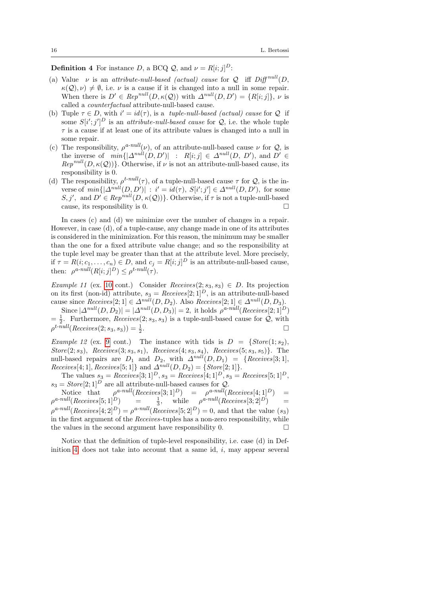**Definition 4** For instance D, a BCQ Q, and  $\nu = R[i;j]^{D}$ :

- (a) Value  $\nu$  is an *attribute-null-based (actual) cause* for  $Q$  iff  $Diff<sup>null</sup>(D,$  $\kappa(Q), \nu) \neq \emptyset$ , i.e.  $\nu$  is a cause if it is changed into a null in some repair. When there is  $D' \in Rep^{null}(D, \kappa(Q))$  with  $\Delta^{null}(D, D') = \{R[i; j]\}, \nu$  is called a counterfactual attribute-null-based cause.
- (b) Tuple  $\tau \in D$ , with  $i' = id(\tau)$ , is a *tuple-null-based (actual) cause* for Q if some  $S[i';j']^D$  is an *attribute-null-based cause* for  $\mathcal{Q}$ , i.e. the whole tuple  $\tau$  is a cause if at least one of its attribute values is changed into a null in some repair.
- (c) The responsibility,  $\rho^{a-null}(\nu)$ , of an attribute-null-based cause  $\nu$  for  $\mathcal{Q}$ , is the inverse of  $min\{|\Delta^{null}(D, D')| : R[i, j] \in \Delta^{null}(D, D')\}$ , and  $D' \in$  $Rep<sup>null</sup>(D, \kappa(Q))$ . Otherwise, if  $\nu$  is not an attribute-null-based cause, its responsibility is 0.
- (d) The responsibility,  $\rho^{t-null}(\tau)$ , of a tuple-null-based cause  $\tau$  for  $\mathcal{Q}$ , is the inverse of  $min\{|\Delta^{null}(D, D')| : i' = id(\tau), S[i'; j'] \in \Delta^{null}(D, D'), \text{ for some }$ S, j', and  $D' \in Rep^{null}(D, \kappa(Q))\}$ . Otherwise, if  $\tau$  is not a tuple-null-based cause, its responsibility is 0.

In cases (c) and (d) we minimize over the number of changes in a repair. However, in case (d), of a tuple-cause, any change made in one of its attributes is considered in the minimization. For this reason, the minimum may be smaller than the one for a fixed attribute value change; and so the responsibility at the tuple level may be greater than that at the attribute level. More precisely, if  $\tau = R(i; c_1, \ldots, c_n) \in D$ , and  $c_j = R[i; j]^D$  is an attribute-null-based cause, then:  $\rho^{a\text{-}null}(R[i;j]^D) \leq \rho^{t\text{-}null}(\tau)$ .

Example 11 (ex. [10](#page-14-1) cont.) Consider  $Receives(2; s_3, s_3) \in D$ . Its projection on its first (non-id) attribute,  $s_3 = Receives[2;1]^D$ , is an attribute-null-based cause since  $Receives[2;1] \in \Delta^{null}(D, D_2)$ . Also  $Receives[2;1] \in \Delta^{null}(D, D_3)$ .

Since  $|\Delta^{null}(D, D_2)| = |\Delta^{null}(D, D_3)| = 2$ , it holds  $\rho^{a-null}(Receives[2, 1]^D)$  $=\frac{1}{2}$ . Furthermore, Receives(2; s<sub>3</sub>, s<sub>3</sub>) is a tuple-null-based cause for  $Q$ , with  $\rho^{t-null}(Receives(2; s_3, s_3)) = \frac{1}{2}$ .

<span id="page-15-0"></span>Example 12 (ex. [9](#page-13-3) cont.) The instance with tids is  $D = \{Store(1; s_2),\}$  $Store(2; s_3),$   $Receives(3; s_3, s_1),$   $Receives(4; s_3, s_4),$   $Receives(5; s_3, s_5)\}.$  The null-based repairs are  $D_1$  and  $D_2$ , with  $\Delta^{null}(D, D_1) = \{Receives[3;1],$  $Receives[4;1], Receives[5;1]$ } and  $\Delta^{null}(D, D_2) = \{Store[2;1]\}.$ 

The values  $s_3 = Receives[3;1]^D$ ,  $s_3 = Receives[4;1]^D$ ,  $s_3 = Receives[5;1]^D$ ,  $s_3 = Store[2; 1]^D$  are all attribute-null-based causes for Q.

Notice that  $\rho^{a-null}(Receives[3;1]^D) = \rho^{a-null}(Receives[4;1]^D) =$  $\rho^{a-null} (Receives[5;1]^D)$  $a\text{-}null(Receives[5;1]^D) = \frac{1}{3}$ , while  $\rho^{a\text{-}null}(Receives[3;2]^D) =$  $\rho^{a-null}(Receives[4;2]^D) = \rho^{a-null}(Receives[5;2]^D) = 0$ , and that the value  $(s_3)$ in the first argument of the Receives-tuples has a non-zero responsibility, while the values in the second argument have responsibility 0.  $\Box$ 

Notice that the definition of tuple-level responsibility, i.e. case (d) in Def-inition [4,](#page-14-2) does not take into account that a same id,  $i$ , may appear several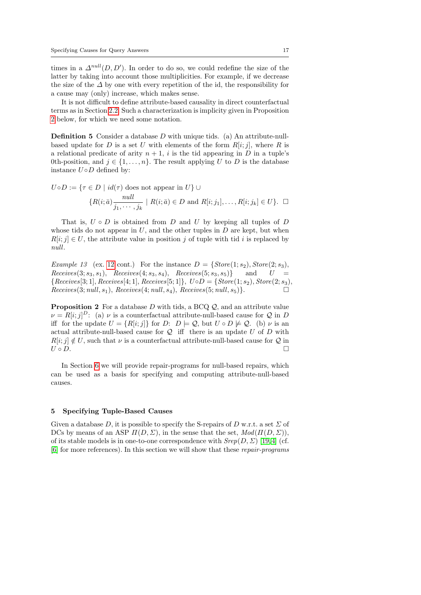times in a  $\Delta^{null}(D, D')$ . In order to do so, we could redefine the size of the latter by taking into account those multiplicities. For example, if we decrease the size of the  $\Delta$  by one with every repetition of the id, the responsibility for a cause may (only) increase, which makes sense.

It is not difficult to define attribute-based causality in direct counterfactual terms as in Section [2.2.](#page-5-0) Such a characterization is implicity given in Proposition [2](#page-16-1) below, for which we need some notation.

**Definition 5** Consider a database  $D$  with unique tids. (a) An attribute-nullbased update for D is a set U with elements of the form  $R[i; j]$ , where R is a relational predicate of arity  $n + 1$ , i is the tid appearing in D in a tuple's 0th-position, and  $j \in \{1, ..., n\}$ . The result applying U to D is the database instance  $U \circ D$  defined by:

$$
U \circ D := \{ \tau \in D \mid id(\tau) \text{ does not appear in } U \} \cup
$$

$$
\{ R(i; \bar{a}) \frac{null}{j_1, \dots, j_k} \mid R(i; \bar{a}) \in D \text{ and } R[i; j_1], \dots, R[i; j_k] \in U \}.
$$

That is,  $U \circ D$  is obtained from D and U by keeping all tuples of D whose tids do not appear in  $U$ , and the other tuples in  $D$  are kept, but when  $R[i; j] \in U$ , the attribute value in position j of tuple with tid i is replaced by null.

<span id="page-16-2"></span>Example 13 (ex. [12](#page-15-0) cont.) For the instance  $D = \{Store(1; s_2), Store(2; s_3),\}$  $Receives(3; s_3, s_1),$   $Receives(4; s_3, s_4),$   $Receives(5; s_3, s_5)$ } and  $U =$  ${Receives}[3; 1], Receives[4; 1], Receives[5; 1]}, \ U \circ D = {Store(1; s_2), Store(2; s_3)},$  $Receives(3; null, s_1),$   $Receives(4; null, s_4),$   $Receives(5; null, s_5)\}.$ 

<span id="page-16-1"></span>**Proposition 2** For a database D with tids, a BCQ  $\mathcal{Q}$ , and an attribute value  $\nu = R[i;j]^{D}$ : (a)  $\nu$  is a counterfactual attribute-null-based cause for Q in D iff for the update  $U = \{R[i;j]\}$  for  $D: D \models Q$ , but  $U \circ D \not\models Q$ . (b)  $\nu$  is an actual attribute-null-based cause for  $Q$  iff there is an update U of D with  $R[i; j] \notin U$ , such that  $\nu$  is a counterfactual attribute-null-based cause for Q in  $U \circ D$ .

In Section [6](#page-22-0) we will provide repair-programs for null-based repairs, which can be used as a basis for specifying and computing attribute-null-based causes.

#### <span id="page-16-0"></span>5 Specifying Tuple-Based Causes

Given a database D, it is possible to specify the S-repairs of D w.r.t. a set  $\Sigma$  of DCs by means of an ASP  $\Pi(D, \Sigma)$ , in the sense that the set,  $Mod(\Pi(D, \Sigma))$ , of its stable models is in one-to-one correspondence with  $Srep(D, \Sigma)$  [\[19,](#page-31-6)4] (cf. [\[6\]](#page-30-2) for more references). In this section we will show that these repair-programs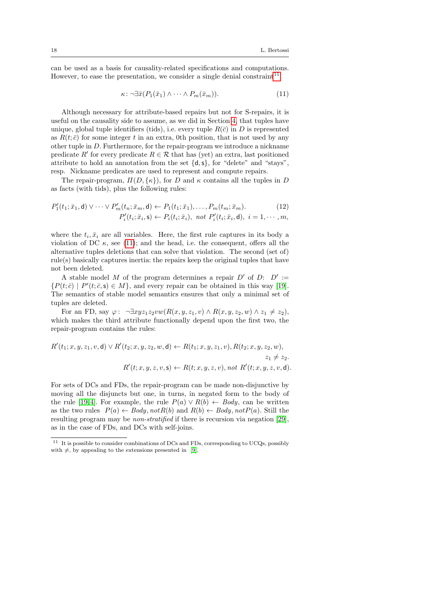can be used as a basis for causality-related specifications and computations. However, to ease the presentation, we consider a single denial constraint<sup>[11](#page-17-0)</sup>

<span id="page-17-1"></span>
$$
\kappa: \neg \exists \bar{x} (P_1(\bar{x}_1) \land \dots \land P_m(\bar{x}_m)). \tag{11}
$$

Although necessary for attribute-based repairs but not for S-repairs, it is useful on the causality side to assume, as we did in Section [4,](#page-11-0) that tuples have unique, global tuple identifiers (tids), i.e. every tuple  $R(\bar{c})$  in D is represented as  $R(t; \bar{c})$  for some integer t in an extra, 0th position, that is not used by any other tuple in D. Furthermore, for the repair-program we introduce a nickname predicate R' for every predicate  $R \in \mathcal{R}$  that has (yet) an extra, last positioned attribute to hold an annotation from the set  $\{d, s\}$ , for "delete" and "stays", resp. Nickname predicates are used to represent and compute repairs.

The repair-program,  $\Pi(D, \{\kappa\})$ , for D and  $\kappa$  contains all the tuples in D as facts (with tids), plus the following rules:

<span id="page-17-2"></span>
$$
P'_1(t_1; \bar{x}_1, \mathbf{d}) \vee \cdots \vee P'_m(t_n; \bar{x}_m, \mathbf{d}) \leftarrow P_1(t_1; \bar{x}_1), \dots, P_m(t_m; \bar{x}_m). \tag{12}
$$

 $P'_{i}(t_{i};\bar{x}_{i},\mathsf{s}) \leftarrow P_{i}(t_{i};\bar{x}_{i}), \text{ not } P'_{i}(t_{i};\bar{x}_{i},\mathsf{d}), \text{ } i=1,\cdots,m,$ 

where the  $t_i, \bar{x}_i$  are all variables. Here, the first rule captures in its body a violation of DC  $\kappa$ , see [\(11\)](#page-17-1); and the head, i.e. the consequent, offers all the alternative tuples deletions that can solve that violation. The second (set of) rule(s) basically captures inertia: the repairs keep the original tuples that have not been deleted.

A stable model M of the program determines a repair  $D'$  of  $D$ :  $D' :=$  $\{P(t; \bar{c}) \mid P'(t; \bar{c}, s) \in M\}$ , and every repair can be obtained in this way [\[19\]](#page-31-6). The semantics of stable model semantics ensures that only a minimal set of tuples are deleted.

For an FD, say  $\varphi$ :  $\neg \exists xyz_1z_2vw(R(x, y, z_1, v) \wedge R(x, y, z_2, w) \wedge z_1 \neq z_2),$ which makes the third attribute functionally depend upon the first two, the repair-program contains the rules:

$$
R'(t_1; x, y, z_1, v, d) \vee R'(t_2; x, y, z_2, w, d) \leftarrow R(t_1; x, y, z_1, v), R(t_2; x, y, z_2, w),
$$
  

$$
z_1 \neq z_2.
$$
  

$$
R'(t; x, y, z, v, s) \leftarrow R(t; x, y, z, v), not R'(t; x, y, z, v, d).
$$

For sets of DCs and FDs, the repair-program can be made non-disjunctive by moving all the disjuncts but one, in turns, in negated form to the body of the rule [\[19,](#page-31-6)4]. For example, the rule  $P(a) \vee R(b) \leftarrow Body$ , can be written as the two rules  $P(a) \leftarrow Body, notR(b)$  and  $R(b) \leftarrow Body, notP(a)$ . Still the resulting program may be *non-stratified* if there is recursion via negation [\[29\]](#page-31-4), as in the case of FDs, and DCs with self-joins.

<span id="page-17-3"></span><span id="page-17-0"></span><sup>&</sup>lt;sup>11</sup> It is possible to consider combinations of DCs and FDs, corresponding to UCQs, possibly with  $\neq$ , by appealing to the extensions presented in [\[9\]](#page-30-0).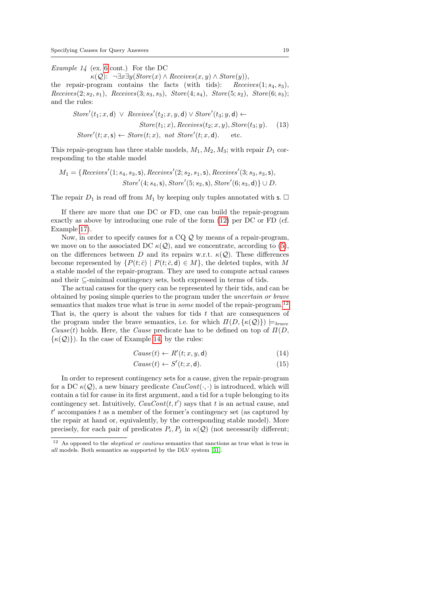*Example 14* (ex. [6](#page-8-1) cont.) For the DC

 $\kappa(Q)$ : ¬ $\exists x \exists y (Store(x) \land Receives(x, y) \land Store(y)),$ 

the repair-program contains the facts (with tids):  $Receives(1; s<sub>4</sub>, s<sub>3</sub>),$  $Receives(2; s_2, s_1),$   $Receives(3; s_3, s_3),$   $Store(4; s_4),$   $Store(5; s_2),$   $Store(6; s_3);$ and the rules:

<span id="page-18-1"></span>
$$
Store'(t_1; x, d) \lor Receives'(t_2; x, y, d) \lor Store'(t_3; y, d) \leftarrow
$$
  
\n
$$
Store(t_1; x), Receives(t_2; x, y), Store(t_3; y).
$$
 (13)  
\n
$$
Store'(t; x, s) \leftarrow Store(t; x), not Store'(t; x, d).
$$
 etc.

This repair-program has three stable models,  $M_1, M_2, M_3$ ; with repair  $D_1$  corresponding to the stable model

$$
M_1 = \{ \text{Receives}'(1; s_4, s_3, \mathsf{s}), \text{Receives}'(2; s_2, s_1, \mathsf{s}), \text{Receives}'(3; s_3, s_3, \mathsf{s}), \\ \text{Store}'(4; s_4, \mathsf{s}), \text{Store}'(5; s_2, \mathsf{s}), \text{Store}'(6; s_3, \mathsf{d}) \} \cup D.
$$

The repair  $D_1$  is read off from  $M_1$  by keeping only tuples annotated with s.  $\Box$ 

If there are more that one DC or FD, one can build the repair-program exactly as above by introducing one rule of the form [\(12\)](#page-17-2) per DC or FD (cf. Example [17\)](#page-21-0).

Now, in order to specify causes for a  $CQ \mathcal{Q}$  by means of a repair-program, we move on to the associated DC  $\kappa(Q)$ , and we concentrate, according to [\(5\)](#page-8-0), on the differences between D and its repairs w.r.t.  $\kappa(Q)$ . These differences become represented by  $\{P(t;\bar{c}) \mid P(t;\bar{c},d) \in M\}$ , the deleted tuples, with M a stable model of the repair-program. They are used to compute actual causes and their ⊆-minimal contingency sets, both expressed in terms of tids.

The actual causes for the query can be represented by their tids, and can be obtained by posing simple queries to the program under the uncertain or brave semantics that makes true what is true in *some* model of the repair-program.<sup>[12](#page-18-0)</sup> That is, the query is about the values for tids  $t$  that are consequences of the program under the brave semantics, i.e. for which  $\Pi(D, \{\kappa(Q)\}) \models_{brane}$ Cause(t) holds. Here, the Cause predicate has to be defined on top of  $\Pi(D)$ ,  $\{\kappa(Q)\}\$ . In the case of Example [14,](#page-17-3) by the rules:

<span id="page-18-2"></span>
$$
Cause(t) \leftarrow R'(t; x, y, d) \tag{14}
$$

$$
Cause(t) \leftarrow S'(t; x, \mathsf{d}).\tag{15}
$$

In order to represent contingency sets for a cause, given the repair-program for a DC  $\kappa(Q)$ , a new binary predicate  $CauCont(\cdot, \cdot)$  is introduced, which will contain a tid for cause in its first argument, and a tid for a tuple belonging to its contingency set. Intuitively,  $CauCont(t, t')$  says that t is an actual cause, and  $t'$  accompanies t as a member of the former's contingency set (as captured by the repair at hand or, equivalently, by the corresponding stable model). More precisely, for each pair of predicates  $P_i, P_j$  in  $\kappa(Q)$  (not necessarily different;

<span id="page-18-0"></span> $12$  As opposed to the *skeptical or cautious* semantics that sanctions as true what is true in all models. Both semantics as supported by the DLV system [\[31\]](#page-31-7).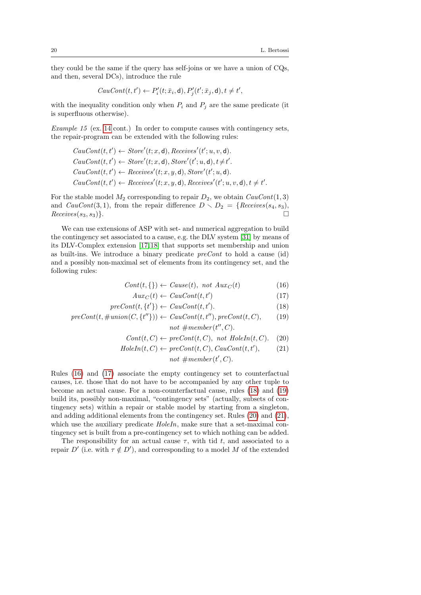they could be the same if the query has self-joins or we have a union of CQs, and then, several DCs), introduce the rule

$$
CauCont(t,t') \leftarrow P'_i(t;\bar{x}_i,\mathsf{d}), P'_j(t';\bar{x}_j,\mathsf{d}), t \neq t',
$$

with the inequality condition only when  $P_i$  and  $P_j$  are the same predicate (it is superfluous otherwise).

<span id="page-19-1"></span>Example 15 (ex. [14](#page-17-3) cont.) In order to compute causes with contingency sets, the repair-program can be extended with the following rules:

$$
CauCont(t, t') \leftarrow Store'(t; x, d), Receives'(t'; u, v, d).
$$

$$
CauCont(t, t') \leftarrow Store'(t; x, d), Store'(t'; u, d), t \neq t'.
$$

$$
CauCont(t, t') \leftarrow Receives'(t; x, y, d), Store'(t'; u, d).
$$

$$
CauCont(t, t') \leftarrow Receives'(t; x, y, d), Receives'(t'; u, v, d), t \neq t'.
$$

For the stable model  $M_2$  corresponding to repair  $D_2$ , we obtain  $CauCont(1, 3)$ and  $CauCont(3,1)$ , from the repair difference  $D \setminus D_2 = \{Receives(s_4, s_3),\}$  $Receives(s_3, s_3)$ .

We can use extensions of ASP with set- and numerical aggregation to build the contingency set associated to a cause, e.g. the DLV system [\[31\]](#page-31-7) by means of its DLV-Complex extension [\[17,](#page-31-8) [18\]](#page-31-9) that supports set membership and union as built-ins. We introduce a binary predicate preCont to hold a cause (id) and a possibly non-maximal set of elements from its contingency set, and the following rules:

<span id="page-19-0"></span>
$$
Cont(t, \{\}) \leftarrow Cause(t), \ not \, Aux_C(t) \tag{16}
$$

$$
Aux_C(t) \leftarrow CauCont(t, t')\tag{17}
$$

$$
preCont(t, \{t'\}) \leftarrow CauCont(t, t'). \tag{18}
$$

$$
preCont(t, \# union(C, \{t''\})) \leftarrow CauCont(t, t''), preCont(t, C),
$$
 (19)  
not 
$$
\# member(t'', C).
$$

$$
Cont(t, C) \leftarrow preCont(t, C), not Holeln(t, C). \quad (20)
$$

$$
HoleIn(t, C) \leftarrow preCont(t, C), CauCont(t, t'), \qquad (21)
$$

$$
not \#member(t', C).
$$

Rules [\(16\)](#page-19-0) and [\(17\)](#page-19-0) associate the empty contingency set to counterfactual causes, i.e. those that do not have to be accompanied by any other tuple to become an actual cause. For a non-counterfactual cause, rules [\(18\)](#page-19-0) and [\(19\)](#page-19-0) build its, possibly non-maximal, "contingency sets" (actually, subsets of contingency sets) within a repair or stable model by starting from a singleton, and adding additional elements from the contingency set. Rules [\(20\)](#page-19-0) and [\(21\)](#page-19-0), which use the auxiliary predicate  $HoleIn$ , make sure that a set-maximal contingency set is built from a pre-contingency set to which nothing can be added.

The responsibility for an actual cause  $\tau$ , with tid t, and associated to a repair D' (i.e. with  $\tau \notin D'$ ), and corresponding to a model M of the extended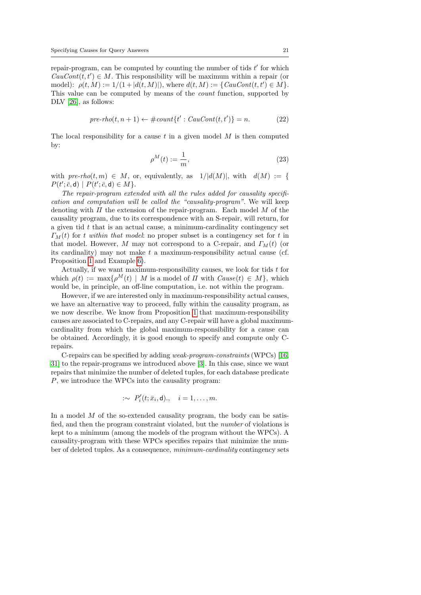repair-program, can be computed by counting the number of tids  $t'$  for which  $CauCont(t, t') \in M$ . This responsibility will be maximum within a repair (or model):  $\rho(t, M) := 1/(1 + |d(t, M)|)$ , where  $d(t, M) := \{CauCont(t, t') \in M\}.$ This value can be computed by means of the count function, supported by DLV [\[26\]](#page-31-17), as follows:

<span id="page-20-0"></span>
$$
pre\text{-}rho(t, n+1) \leftarrow \# count\{t' : \text{CauCont}(t, t')\} = n. \tag{22}
$$

The local responsibility for a cause  $t$  in a given model  $M$  is then computed by:

$$
\rho^M(t) := \frac{1}{m},\tag{23}
$$

with  $pre\text{-}rho(t, m) \in M$ , or, equivalently, as  $1/|d(M)|$ , with  $d(M) := \{$  $P(t'; \bar{c}, d) | P(t'; \bar{c}, d) \in M$ .

The repair-program extended with all the rules added for causality specification and computation will be called the "causality-program". We will keep denoting with  $\Pi$  the extension of the repair-program. Each model  $M$  of the causality program, due to its correspondence with an S-repair, will return, for a given tid  $t$  that is an actual cause, a minimum-cardinality contingency set  $\Gamma_M(t)$  for t within that model: no proper subset is a contingency set for t in that model. However, M may not correspond to a C-repair, and  $\Gamma_M(t)$  (or its cardinality) may not make  $t$  a maximum-responsibility actual cause (cf. Proposition [1](#page-8-2) and Example [6\)](#page-8-1).

Actually, if we want maximum-responsibility causes, we look for tids  $t$  for which  $\rho(t) := \max\{\rho^M(t) \mid M \text{ is a model of } \Pi \text{ with } Cause(t) \in M\}$ , which would be, in principle, an off-line computation, i.e. not within the program.

However, if we are interested only in maximum-responsibility actual causes, we have an alternative way to proceed, fully within the causality program, as we now describe. We know from Proposition [1](#page-8-2) that maximum-responsibility causes are associated to C-repairs, and any C-repair will have a global maximumcardinality from which the global maximum-responsibility for a cause can be obtained. Accordingly, it is good enough to specify and compute only Crepairs.

C-repairs can be specified by adding weak-program-constraints (WPCs) [\[16,](#page-31-18) [31\]](#page-31-7) to the repair-programs we introduced above [\[3\]](#page-30-5). In this case, since we want repairs that minimize the number of deleted tuples, for each database predicate P, we introduce the WPCs into the causality program:

$$
\therefore P'_i(t; \bar{x}_i, \mathsf{d}), \quad i = 1, \dots, m.
$$

In a model  $M$  of the so-extended causality program, the body can be satisfied, and then the program constraint violated, but the number of violations is kept to a minimum (among the models of the program without the WPCs). A causality-program with these WPCs specifies repairs that minimize the number of deleted tuples. As a consequence, minimum-cardinality contingency sets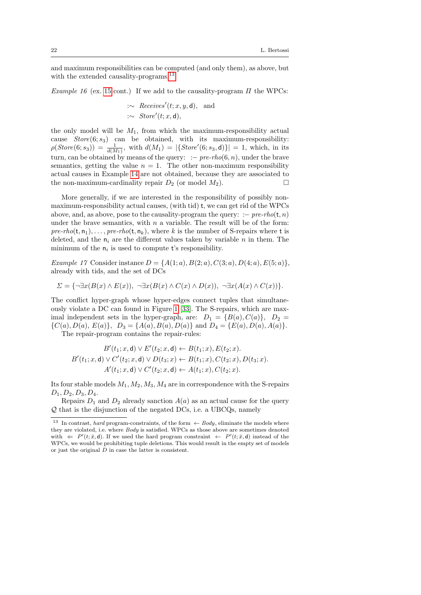and maximum responsibilities can be computed (and only them), as above, but with the extended causality-programs.<sup>[13](#page-21-1)</sup>

<span id="page-21-2"></span>Example 16 (ex. [15](#page-19-1) cont.) If we add to the causality-program  $\Pi$  the WPCs:

$$
\therefore \quad Receives'(t; x, y, d), \text{ and} \\ \therefore \quad Store'(t; x, d),
$$

the only model will be  $M_1$ , from which the maximum-responsibility actual cause  $Store(6; s<sub>3</sub>)$  can be obtained, with its maximum-responsibility:  $\rho(Store(6; s_3)) = \frac{1}{d(M_1)}$ , with  $d(M_1) = |\{Store'(6; s_3, d)\}| = 1$ , which, in its turn, can be obtained by means of the query: :-  $pre\text{-}rho(6, n)$ , under the brave semantics, getting the value  $n = 1$ . The other non-maximum responsibility actual causes in Example [14](#page-17-3) are not obtained, because they are associated to the non-maximum-cardinality repair  $D_2$  (or model  $M_2$ ).

More generally, if we are interested in the responsibility of possibly nonmaximum-responsibility actual causes, (with tid) t, we can get rid of the WPCs above, and, as above, pose to the causality-program the query: : $- pre-rho(t, n)$ under the brave semantics, with  $n$  a variable. The result will be of the form:  $pre-rho(t, n_1), \ldots, pre-rho(t, n_k)$ , where k is the number of S-repairs where t is deleted, and the  $n_i$  are the different values taken by variable n in them. The minimum of the  $n_i$  is used to compute t's responsibility.

<span id="page-21-0"></span>Example 17 Consider instance  $D = \{A(1; a), B(2; a), C(3; a), D(4; a), E(5; a)\},\$ already with tids, and the set of DCs

$$
\Sigma = \{ \neg \exists x (B(x) \land E(x)), \neg \exists x (B(x) \land C(x) \land D(x)), \neg \exists x (A(x) \land C(x)) \}.
$$

The conflict hyper-graph whose hyper-edges connect tuples that simultaneously violate a DC can found in Figure [1](#page-22-1) [\[33\]](#page-31-19). The S-repairs, which are maximal independent sets in the hyper-graph, are:  $D_1 = \{B(a), C(a)\}, D_2 =$  $\{C(a), D(a), E(a)\}, D_3 = \{A(a), B(a), D(a)\}\$ and  $D_4 = \{E(a), D(a), A(a)\}.$ The repair-program contains the repair-rules:

$$
B'(t_1; x, d) \vee E'(t_2; x, d) \leftarrow B(t_1; x), E(t_2; x).
$$
  

$$
B'(t_1; x, d) \vee C'(t_2; x, d) \vee D(t_3; x) \leftarrow B(t_1; x), C(t_2; x), D(t_3; x).
$$
  

$$
A'(t_1; x, d) \vee C'(t_2; x, d) \leftarrow A(t_1; x), C(t_2; x).
$$

Its four stable models  $M_1, M_2, M_3, M_4$  are in correspondence with the S-repairs  $D_1, D_2, D_3, D_4.$ 

Repairs  $D_1$  and  $D_2$  already sanction  $A(a)$  as an actual cause for the query Q that is the disjunction of the negated DCs, i.e. a UBCQs, namely

<span id="page-21-1"></span><sup>&</sup>lt;sup>13</sup> In contrast, hard program-constraints, of the form  $\leftarrow$  Body, eliminate the models where they are violated, i.e. where Body is satisfied. WPCs as those above are sometimes denoted with  $\Leftarrow P'(t; \bar{x}, d)$ . If we used the hard program constraint  $\leftarrow P'(t; \bar{x}, d)$  instead of the WPCs, we would be prohibiting tuple deletions. This would result in the empty set of models or just the original  $D$  in case the latter is consistent.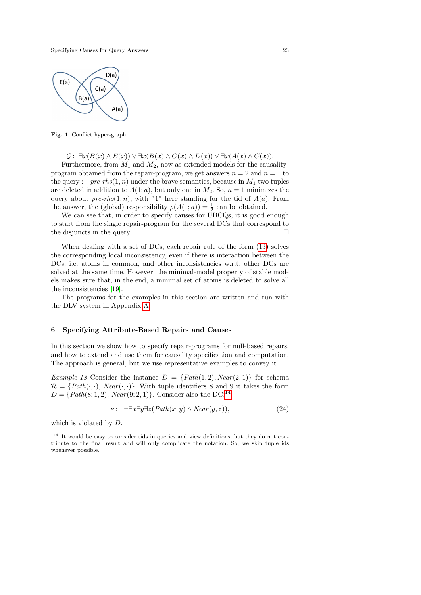

<span id="page-22-1"></span>Fig. 1 Conflict hyper-graph

 $\mathcal{Q}: \ \exists x(B(x) \wedge E(x)) \vee \exists x(B(x) \wedge C(x) \wedge D(x)) \vee \exists x(A(x) \wedge C(x)).$ Furthermore, from  $M_1$  and  $M_2$ , now as extended models for the causalityprogram obtained from the repair-program, we get answers  $n = 2$  and  $n = 1$  to the query :–  $pre-rho(1, n)$  under the brave semantics, because in  $M_1$  two tuples are deleted in addition to  $A(1; a)$ , but only one in  $M_2$ . So,  $n = 1$  minimizes the query about pre-rho(1, n), with "1" here standing for the tid of  $A(a)$ . From the answer, the (global) responsibility  $\rho(A(1; a)) = \frac{1}{2}$  can be obtained.

We can see that, in order to specify causes for UBCQs, it is good enough to start from the single repair-program for the several DCs that correspond to the disjuncts in the query.

When dealing with a set of DCs, each repair rule of the form [\(13\)](#page-18-1) solves the corresponding local inconsistency, even if there is interaction between the DCs, i.e. atoms in common, and other inconsistencies w.r.t. other DCs are solved at the same time. However, the minimal-model property of stable models makes sure that, in the end, a minimal set of atoms is deleted to solve all the inconsistencies [\[19\]](#page-31-6).

The programs for the examples in this section are written and run with the DLV system in Appendix [A.](#page-32-0)

## <span id="page-22-0"></span>6 Specifying Attribute-Based Repairs and Causes

In this section we show how to specify repair-programs for null-based repairs, and how to extend and use them for causality specification and computation. The approach is general, but we use representative examples to convey it.

<span id="page-22-3"></span>Example 18 Consider the instance  $D = \{Path(1, 2), Near(2, 1)\}$  for schema  $\mathcal{R} = \{Path(\cdot, \cdot), Near(\cdot, \cdot)\}.$  With tuple identifiers 8 and 9 it takes the form  $D = \{Path(8; 1, 2), Near(9; 2, 1)\}.$  Consider also the DC:<sup>[14](#page-22-2)</sup>

<span id="page-22-4"></span>
$$
\kappa: \quad \neg \exists x \exists y \exists z (Path(x, y) \land Near(y, z)), \tag{24}
$$

which is violated by D.

<span id="page-22-2"></span><sup>14</sup> It would be easy to consider tids in queries and view definitions, but they do not contribute to the final result and will only complicate the notation. So, we skip tuple ids whenever possible.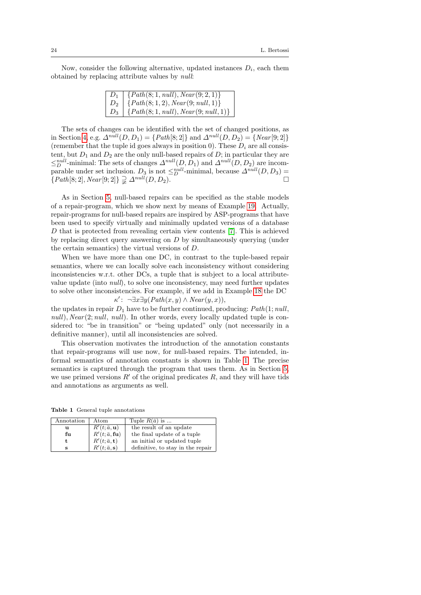Now, consider the following alternative, updated instances  $D_i$ , each them obtained by replacing attribute values by null:

| $D_1$ | $\{Path(8; 1, null), Near(9; 2, 1)\}$           |
|-------|-------------------------------------------------|
|       | $D_2 \,   \, {Path(8; 1, 2), Near(9; null, 1)}$ |
| $D_3$ | $\{Path(8; 1, null), Near(9; null, 1)\}$        |

The sets of changes can be identified with the set of changed positions, as in Section [4,](#page-11-0) e.g.  $\Delta^{null}(D, D_1) = \{Path[8; 2] \}$  and  $\Delta^{null}(D, D_2) = \{Near[9; 2] \}$ (remember that the tuple id goes always in position 0). These  $D_i$  are all consistent, but  $D_1$  and  $D_2$  are the only null-based repairs of  $D$ ; in particular they are  $\leq_{D}^{null}$ -minimal: The sets of changes  $\Delta^{null}(D, D_1)$  and  $\Delta^{null}(D, D_2)$  are incomparable under set inclusion.  $D_3$  is not  $\leq_{D}^{null}$ -minimal, because  $\Delta^{null}(D, D_3)$  =  ${Path[8;2], Near[9;2]} \supsetneq \Delta^{null}(D, D_2).$ 

As in Section [5,](#page-16-0) null-based repairs can be specified as the stable models of a repair-program, which we show next by means of Example [19.](#page-24-0) Actually, repair-programs for null-based repairs are inspired by ASP-programs that have been used to specify virtually and minimally updated versions of a database D that is protected from revealing certain view contents [\[7\]](#page-30-7). This is achieved by replacing direct query answering on D by simultaneously querying (under the certain semantics) the virtual versions of D.

When we have more than one DC, in contrast to the tuple-based repair semantics, where we can locally solve each inconsistency without considering inconsistencies w.r.t. other DCs, a tuple that is subject to a local attributevalue update (into null), to solve one inconsistency, may need further updates to solve other inconsistencies. For example, if we add in Example [18](#page-22-3) the DC  $\kappa'$ : ¬ $\exists x \exists y (Path(x, y) \land Near(y, x)),$ 

the updates in repair  $D_1$  have to be further continued, producing:  $Path(1; null,$ null),  $Near(2; null, null)$ . In other words, every locally updated tuple is considered to: "be in transition" or "being updated" only (not necessarily in a definitive manner), until all inconsistencies are solved.

This observation motivates the introduction of the annotation constants that repair-programs will use now, for null-based repairs. The intended, informal semantics of annotation constants is shown in Table [1.](#page-23-0) The precise semantics is captured through the program that uses them. As in Section [5,](#page-16-0) we use primed versions  $R'$  of the original predicates  $R$ , and they will have tids and annotations as arguments as well.

<span id="page-23-0"></span>Table 1 General tuple annotations

| Annotation | Atom                         | Tuple $R(\bar{a})$ is             |
|------------|------------------------------|-----------------------------------|
| u          | $R'(t; \bar{a}, \mathbf{u})$ | the result of an update           |
| fи         | $R'(t; \bar{a}, {\bf fu})$   | the final update of a tuple       |
|            | $R'(t; \bar{a}, \mathbf{t})$ | an initial or updated tuple       |
| s          | $R'(t; \bar{a}, s)$          | definitive, to stay in the repair |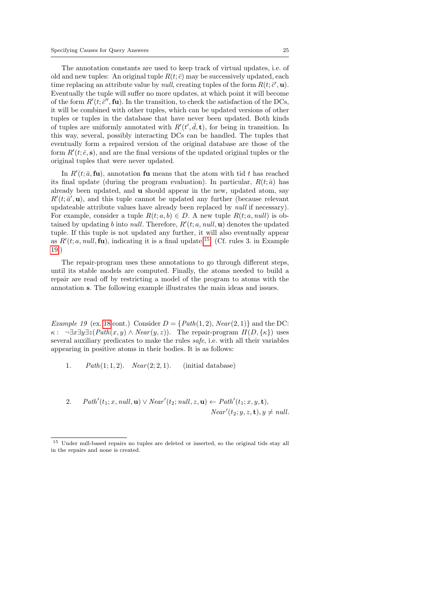The annotation constants are used to keep track of virtual updates, i.e. of old and new tuples: An original tuple  $R(t; \bar{c})$  may be successively updated, each time replacing an attribute value by *null*, creating tuples of the form  $R(t; \vec{c}', \mathbf{u})$ . Eventually the tuple will suffer no more updates, at which point it will become of the form  $R'(t; \bar{c}'', \textbf{fu})$ . In the transition, to check the satisfaction of the DCs, it will be combined with other tuples, which can be updated versions of other tuples or tuples in the database that have never been updated. Both kinds of tuples are uniformly annotated with  $R'(t',\bar{d},\mathbf{t})$ , for being in transition. In this way, several, possibly interacting DCs can be handled. The tuples that eventually form a repaired version of the original database are those of the form  $R'(t; \bar{e}, s)$ , and are the final versions of the updated original tuples or the original tuples that were never updated.

In  $R'(t; \bar{a}, \textbf{fu})$ , annotation fu means that the atom with tid t has reached its final update (during the program evaluation). In particular,  $R(t; \bar{a})$  has already been updated, and u should appear in the new, updated atom, say  $R'(t; \bar{a}', \mathbf{u})$ , and this tuple cannot be updated any further (because relevant updateable attribute values have already been replaced by null if necessary). For example, consider a tuple  $R(t; a, b) \in D$ . A new tuple  $R(t; a, null)$  is obtained by updating b into *null*. Therefore,  $R'(t; a, null, u)$  denotes the updated tuple. If this tuple is not updated any further, it will also eventually appear as  $R'(t; a, null, \textbf{fu})$ , indicating it is a final update.<sup>[15](#page-24-1)</sup> (Cf. rules 3. in Example [19.](#page-24-0))

The repair-program uses these annotations to go through different steps, until its stable models are computed. Finally, the atoms needed to build a repair are read off by restricting a model of the program to atoms with the annotation s. The following example illustrates the main ideas and issues.

<span id="page-24-0"></span>Example 19 (ex. [18](#page-22-3) cont.) Consider  $D = \{Path(1, 2), Near(2, 1)\}\$ and the DC:  $\kappa$ : ¬ $\exists x \exists y \exists z (Path(x, y) \land Near(y, z))$ . The repair-program  $\Pi(D, \{\kappa\})$  uses several auxiliary predicates to make the rules safe, i.e. with all their variables appearing in positive atoms in their bodies. It is as follows:

1.  $Path(1; 1, 2)$ .  $Near(2; 2, 1)$ . (initial database)

2. 
$$
Path'(t_1; x, null, \mathbf{u}) \lor Near'(t_2; null, z, \mathbf{u}) \leftarrow Path'(t_1; x, y, \mathbf{t}),
$$
  
 $Near'(t_2; y, z, \mathbf{t}), y \neq null.$ 

<span id="page-24-1"></span><sup>15</sup> Under null-based repairs no tuples are deleted or inserted, so the original tids stay all in the repairs and none is created.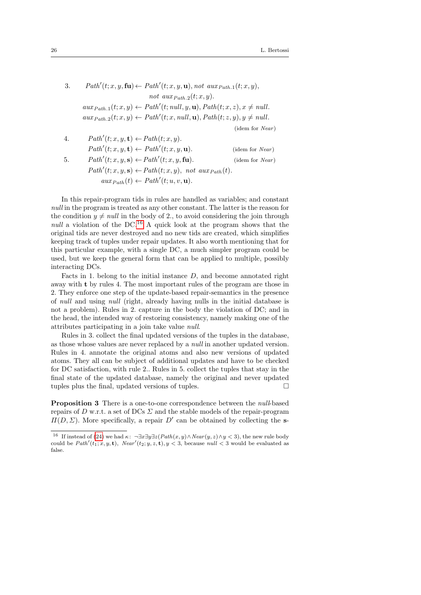- 3.  $Path'(t; x, y, \mathbf{fu}) \leftarrow Path'(t; x, y, \mathbf{u}), not \quad aux_{Path.1}(t; x, y),$ not aux  $P_{ath,2}(t; x, y)$ .  $aux_{Path.1}(t; x, y) \leftarrow Path'(t; null, y, \mathbf{u}), Path(t; x, z), x \neq null.$  $aux_{Path.2}(t; x, y) \leftarrow Path'(t; x, null, \mathbf{u}), Path(t; z, y), y \neq null.$ (idem for Near)
- 4.  $Path'(t; x, y, t) \leftarrow Path(t; x, y).$  $Path'(t; x, y, t) \leftarrow Path'$  $(idem for Near)$ 5.  $Path'(t; x, y, s) \leftarrow Path'$ 
	- $(idem for Near)$  $Path'(t; x, y, s) \leftarrow Path(t; x, y), \text{ not aux }_{Path}(t).$  $aux_{Path}(t) \leftarrow Path'(t; u, v, \mathbf{u}).$

In this repair-program tids in rules are handled as variables; and constant null in the program is treated as any other constant. The latter is the reason for the condition  $y \neq null$  in the body of 2, to avoid considering the join through null a violation of the  $DC<sup>16</sup>$  $DC<sup>16</sup>$  $DC<sup>16</sup>$  A quick look at the program shows that the original tids are never destroyed and no new tids are created, which simplifies keeping track of tuples under repair updates. It also worth mentioning that for this particular example, with a single DC, a much simpler program could be used, but we keep the general form that can be applied to multiple, possibly interacting DCs.

Facts in 1. belong to the initial instance  $D$ , and become annotated right away with t by rules 4. The most important rules of the program are those in 2. They enforce one step of the update-based repair-semantics in the presence of null and using null (right, already having nulls in the initial database is not a problem). Rules in 2. capture in the body the violation of DC; and in the head, the intended way of restoring consistency, namely making one of the attributes participating in a join take value null.

Rules in 3. collect the final updated versions of the tuples in the database, as those whose values are never replaced by a null in another updated version. Rules in 4. annotate the original atoms and also new versions of updated atoms. They all can be subject of additional updates and have to be checked for DC satisfaction, with rule 2.. Rules in 5. collect the tuples that stay in the final state of the updated database, namely the original and never updated tuples plus the final, updated versions of tuples.  $\Box$ 

Proposition 3 There is a one-to-one correspondence between the null-based repairs of D w.r.t. a set of DCs  $\Sigma$  and the stable models of the repair-program  $\Pi(D, \Sigma)$ . More specifically, a repair D' can be obtained by collecting the s-

<span id="page-25-0"></span><sup>&</sup>lt;sup>16</sup> If instead of [\(24\)](#page-22-4) we had  $\kappa$ :  $\neg \exists x \exists y \exists z (Path(x, y) \land Near(y, z) \land y < 3)$ , the new rule body could be  $Path'(t_1; x, y, t)$ ,  $Near'(t_2; y, z, t), y < 3$ , because null  $< 3$  would be evaluated as false.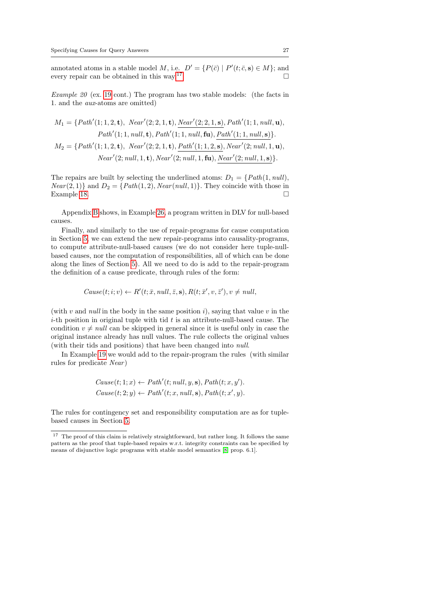annotated atoms in a stable model M, i.e.  $D' = \{P(\bar{c}) \mid P'(t; \bar{c}, s) \in M\};$  and every repair can be obtained in this way.<sup>[17](#page-26-0)</sup>

Example 20 (ex. [19](#page-24-0) cont.) The program has two stable models: (the facts in 1. and the aux-atoms are omitted)

$$
M_1 = \{Path'(1; 1, 2, \mathbf{t}), \text{ Near}'(2; 2, 1, \mathbf{t}), \text{Near}'(2; 2, 1, \mathbf{s}), Path'(1; 1, null, \mathbf{u}),
$$

$$
Path'(1; 1, null, \mathbf{t}), Path'(1; 1, null, \mathbf{fu}), \underline{Path'(1; 1, null, \mathbf{s})}\}.
$$

$$
M_2 = \{Path'(1; 1, 2, \mathbf{t}), \text{ Near}'(2; 2, 1, \mathbf{t}), \underline{Path'(1; 1, 2, \mathbf{s})}, Near'(2; null, 1, \mathbf{u}),
$$

$$
Near'(2; null, 1, \mathbf{t}), Near'(2; null, 1, \mathbf{fu}), Near'(2; null, 1, \mathbf{s})\}.
$$

The repairs are built by selecting the underlined atoms:  $D_1 = \{Path(1, null),\}$ *Near* $(2, 1)$ } and  $D_2 = \{Path(1, 2), Near(null, 1)\}.$  They coincide with those in Example [18.](#page-22-3)

Appendix [B](#page-36-0) shows, in Example [26,](#page-36-1) a program written in DLV for null-based causes.

Finally, and similarly to the use of repair-programs for cause computation in Section [5,](#page-16-0) we can extend the new repair-programs into causality-programs, to compute attribute-null-based causes (we do not consider here tuple-nullbased causes, nor the computation of responsibilities, all of which can be done along the lines of Section [5\)](#page-16-0). All we need to do is add to the repair-program the definition of a cause predicate, through rules of the form:

$$
Cause(t; i; v) \leftarrow R'(t; \bar{x}, null, \bar{z}, s), R(t; \bar{x}', v, \bar{z}'), v \neq null,
$$

(with v and null in the body in the same position i), saying that value  $v$  in the  $i$ -th position in original tuple with tid  $t$  is an attribute-null-based cause. The condition  $v \neq null$  can be skipped in general since it is useful only in case the original instance already has null values. The rule collects the original values (with their tids and positions) that have been changed into null.

In Example [19](#page-24-0) we would add to the repair-program the rules (with similar rules for predicate Near )

$$
Cause(t;1;x) \leftarrow Path'(t; null,y,s), Path(t;x,y').
$$
  

$$
Cause(t;2;y) \leftarrow Path'(t;x, null,s), Path(t;x',y).
$$

The rules for contingency set and responsibility computation are as for tuplebased causes in Section [5.](#page-16-0)

<span id="page-26-0"></span><sup>&</sup>lt;sup>17</sup> The proof of this claim is relatively straightforward, but rather long. It follows the same pattern as the proof that tuple-based repairs w.r.t. integrity constraints can be specified by means of disjunctive logic programs with stable model semantics [\[8,](#page-30-8) prop. 6.1].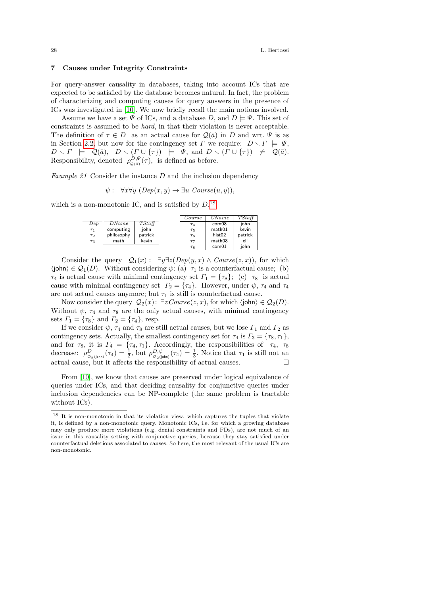## <span id="page-27-0"></span>7 Causes under Integrity Constraints

For query-answer causality in databases, taking into account ICs that are expected to be satisfied by the database becomes natural. In fact, the problem of characterizing and computing causes for query answers in the presence of ICs was investigated in [\[10\]](#page-30-1). We now briefly recall the main notions involved.

Assume we have a set  $\Psi$  of ICs, and a database D, and  $D \models \Psi$ . This set of constraints is assumed to be hard, in that their violation is never acceptable. The definition of  $\tau \in D$  as an actual cause for  $\mathcal{Q}(\bar{a})$  in D and wrt.  $\Psi$  is as in Section [2.2,](#page-5-0) but now for the contingency set  $\Gamma$  we require:  $D \setminus \Gamma = \Psi$ ,  $D \setminus \Gamma$  =  $\mathcal{Q}(\bar{a}), \quad D \setminus (\Gamma \cup \{\tau\})$  =  $\Psi$ , and  $D \setminus (\Gamma \cup \{\tau\})$   $\models \mathcal{Q}(\bar{a}).$ Responsibility, denoted  $\rho_{\mathcal{Q}(\bar{a})}^{D,\Psi}(\tau)$ , is defined as before.

<span id="page-27-2"></span>Example 21 Consider the instance  $D$  and the inclusion dependency

$$
\psi
$$
:  $\forall x \forall y \ (Dep(x, y) \rightarrow \exists u \ Course(u, y)),$ 

which is a non-monotonic IC, and is satisfied by  $D^{18}$  $D^{18}$  $D^{18}$ 

|          |            |         | Course   | CName              | TStaff  |
|----------|------------|---------|----------|--------------------|---------|
| Dep      | DName      | TStaff  | $\tau_4$ | com08              | john    |
| $\tau_1$ | computing  | iohn    | $\tau_5$ | math01             | kevin   |
| $\tau_2$ | philosophy | patrick | $\tau_6$ | hist <sub>02</sub> | patrick |
| $\tau_3$ | math       | kevin   | $\tau_7$ | math08             | eli     |
|          |            |         | $\tau_8$ | com01              | iohn    |

Consider the query  $Q_1(x)$ :  $\exists y \exists z (Dep(y, x) \land Course(z, x))$ , for which  $\langle \text{John} \rangle \in \mathcal{Q}_1(D)$ . Without considering  $\psi$ : (a)  $\tau_1$  is a counterfactual cause; (b)  $\tau_4$  is actual cause with minimal contingency set  $\Gamma_1 = {\tau_8}$ ; (c)  $\tau_8$  is actual cause with minimal contingency set  $\Gamma_2 = {\tau_4}$ . However, under  $\psi$ ,  $\tau_4$  and  $\tau_4$ are not actual causes anymore; but  $\tau_1$  is still is counterfactual cause.

Now consider the query  $Q_2(x)$ :  $\exists z \text{Course}(z, x)$ , for which  $\langle \text{John} \rangle \in Q_2(D)$ . Without  $\psi$ ,  $\tau_4$  and  $\tau_8$  are the only actual causes, with minimal contingency sets  $\Gamma_1 = {\tau_8}$  and  $\Gamma_2 = {\tau_4}$ , resp.

If we consider  $\psi$ ,  $\tau_4$  and  $\tau_8$  are still actual causes, but we lose  $\varGamma_1$  and  $\varGamma_2$  as contingency sets. Actually, the smallest contingency set for  $\tau_4$  is  $\Gamma_3 = {\tau_8, \tau_1}$ , and for  $\tau_8$ , it is  $\Gamma_4 = {\tau_4, \tau_1}$ . Accordingly, the responsibilities of  $\tau_4$ ,  $\tau_8$ decrease:  $\rho^D_{\alpha}$  $\frac{D}{\mathcal{Q}_2(\textsf{john})}(\tau_4) = \frac{1}{2}, \text{ but } \rho_{\mathcal{Q}_2(\textsf{j}}^{D,\psi})$  $D, \psi$ <sub> $\mathcal{Q}_2$ (john)</sub>  $(\tau_4) = \frac{1}{3}$ . Notice that  $\tau_1$  is still not an  $\alpha$  actual cause, but it affects the responsibility of actual causes.

From [\[10\]](#page-30-1), we know that causes are preserved under logical equivalence of queries under ICs, and that deciding causality for conjunctive queries under inclusion dependencies can be NP-complete (the same problem is tractable without ICs).

<span id="page-27-3"></span><span id="page-27-1"></span><sup>18</sup> It is non-monotonic in that its violation view, which captures the tuples that violate it, is defined by a non-monotonic query. Monotonic ICs, i.e. for which a growing database may only produce more violations (e.g. denial constraints and FDs), are not much of an issue in this causality setting with conjunctive queries, because they stay satisfied under counterfactual deletions associated to causes. So here, the most relevant of the usual ICs are non-monotonic.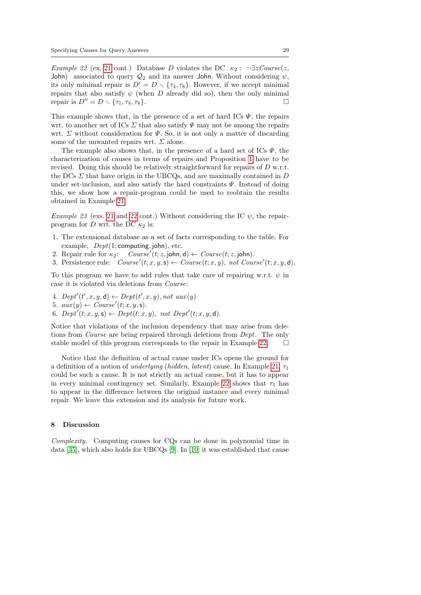Example 22 (ex. [21](#page-27-2) cont.) Database D violates the DC  $\kappa_2$ : ¬ $\exists z \text{Course}(z,$ John) associated to query  $\mathcal{Q}_2$  and its answer John. Without considering  $\psi$ , its only minimal repair is  $D' = D \setminus \{\tau_4, \tau_8\}$ . However, if we accept minimal repairs that also satisfy  $\psi$  (when D already did so), then the only minimal repair is  $D'' = D \setminus {\tau_1, \tau_4, \tau_8}$ .

This example shows that, in the presence of a set of hard ICs  $\Psi$ , the repairs wrt. to another set of ICs  $\Sigma$  that also satisfy  $\Psi$  may not be among the repairs wrt.  $\Sigma$  without consideration for  $\Psi$ . So, it is not only a matter of discarding some of the unwanted repairs wrt.  $\Sigma$  alone.

The example also shows that, in the presence of a hard set of ICs  $\Psi$ , the characterization of causes in terms of repairs and Proposition [1](#page-8-2) have to be revised. Doing this should be relatively straightforward for repairs of D w.r.t. the DCs  $\Sigma$  that have origin in the UBCQs, and are maximally contained in D under set-inclusion, and also satisfy the hard constraints  $\Psi$ . Instead of doing this, we show how a repair-program could be used to reobtain the results obtained in Example [21.](#page-27-2)

Example 23 (exs. [21](#page-27-2) and [22](#page-27-3) cont.) Without considering the IC  $\psi$ , the repairprogram for D wrt. the DC  $\kappa_2$  is:

- 1. The extensional database as a set of facts corresponding to the table. For example,  $Depth(1; computing, john)$ , etc.
- 2. Repair rule for  $\kappa_2$ :  $Course'(t; z, \text{john}, d) \leftarrow Course(t; z, \text{john}).$
- 3. Persistence rule:  $Course'(t; x, y, s) \leftarrow Course(t; x, y), not Course'(t; x, y, d).$

To this program we have to add rules that take care of repairing w.r.t.  $\psi$  in case it is violated via deletions from Course:

- 4.  $Depth'(t', x, y, d) \leftarrow Depth(t', x, y), not \, aux(y)$
- 5.  $aux(y) \leftarrow Course'(t; x, y, s)$ .
- 6. Dept<sup> $\ell'(t; x, y, s) \leftarrow \text{Depth}(t; x, y), \text{ not }\text{Depth}'(t; x, y, d).$ </sup>

Notice that violations of the inclusion dependency that may arise from deletions from Course are being repaired through deletions from Dept. The only stable model of this program corresponds to the repair in Example [22.](#page-27-3)

Notice that the definition of actual cause under ICs opens the ground for a definition of a notion of underlying (hidden, latent) cause. In Example [21,](#page-27-2)  $\tau_1$ could be such a cause. It is not strictly an actual cause, but it has to appear in every minimal contingency set. Similarly, Example [22](#page-27-3) shows that  $\tau_1$  has to appear in the difference between the original instance and every minimal repair. We leave this extension and its analysis for future work.

## <span id="page-28-0"></span>8 Discussion

Complexity. Computing causes for CQs can be done in polynomial time in data [\[35\]](#page-31-2), which also holds for UBCQs [\[9\]](#page-30-0). In [\[10\]](#page-30-1) it was established that cause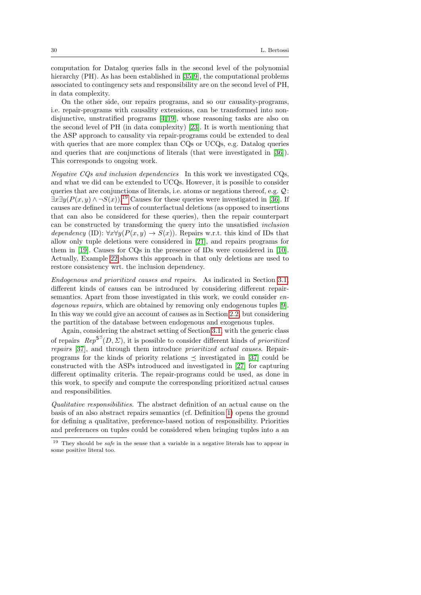computation for Datalog queries falls in the second level of the polynomial hierarchy (PH). As has been established in [\[35,](#page-31-2)9], the computational problems associated to contingency sets and responsibility are on the second level of PH, in data complexity.

On the other side, our repairs programs, and so our causality-programs, i.e. repair-programs with causality extensions, can be transformed into nondisjunctive, unstratified programs [\[4,](#page-30-4) [19\]](#page-31-6), whose reasoning tasks are also on the second level of PH (in data complexity) [\[23\]](#page-31-20). It is worth mentioning that the ASP approach to causality via repair-programs could be extended to deal with queries that are more complex than CQs or UCQs, e.g. Datalog queries and queries that are conjunctions of literals (that were investigated in [\[36\]](#page-31-21)). This corresponds to ongoing work.

Negative CQs and inclusion dependencies In this work we investigated CQs, and what we did can be extended to UCQs. However, it is possible to consider queries that are conjunctions of literals, i.e. atoms or negations thereof, e.g. Q:  $\exists x \exists y (P(x, y) \land \neg S(x)).$ <sup>[19](#page-29-0)</sup> Causes for these queries were investigated in [\[36\]](#page-31-21). If causes are defined in terms of counterfactual deletions (as opposed to insertions that can also be considered for these queries), then the repair counterpart can be constructed by transforming the query into the unsatisfied inclusion dependency (ID):  $\forall x \forall y (P(x, y) \rightarrow S(x))$ . Repairs w.r.t. this kind of IDs that allow only tuple deletions were considered in [\[21\]](#page-31-22), and repairs programs for them in [\[19\]](#page-31-6). Causes for CQs in the presence of IDs were considered in [\[10\]](#page-30-1). Actually, Example [22](#page-27-3) shows this approach in that only deletions are used to restore consistency wrt. the inclusion dependency.

Endogenous and prioritized causes and repairs. As indicated in Section [3.1,](#page-10-0) different kinds of causes can be introduced by considering different repairsemantics. Apart from those investigated in this work, we could consider *en*-dogenous repairs, which are obtained by removing only endogenous tuples [\[9\]](#page-30-0). In this way we could give an account of causes as in Section [2.2,](#page-5-0) but considering the partition of the database between endogenous and exogenous tuples.

Again, considering the abstract setting of Section [3.1,](#page-10-0) with the generic class of repairs  $Rep^{S^{\preceq}}(D, \Sigma)$ , it is possible to consider different kinds of *prioritized* repairs [\[37\]](#page-32-1), and through them introduce prioritized actual causes. Repairprograms for the kinds of priority relations  $\leq$  investigated in [\[37\]](#page-32-1) could be constructed with the ASPs introduced and investigated in [\[27\]](#page-31-23) for capturing different optimality criteria. The repair-programs could be used, as done in this work, to specify and compute the corresponding prioritized actual causes and responsibilities.

Qualitative responsibilities. The abstract definition of an actual cause on the basis of an also abstract repairs semantics (cf. Definition [1\)](#page-10-4) opens the ground for defining a qualitative, preference-based notion of responsibility. Priorities and preferences on tuples could be considered when bringing tuples into a an

<span id="page-29-0"></span> $19$  They should be *safe* in the sense that a variable in a negative literals has to appear in some positive literal too.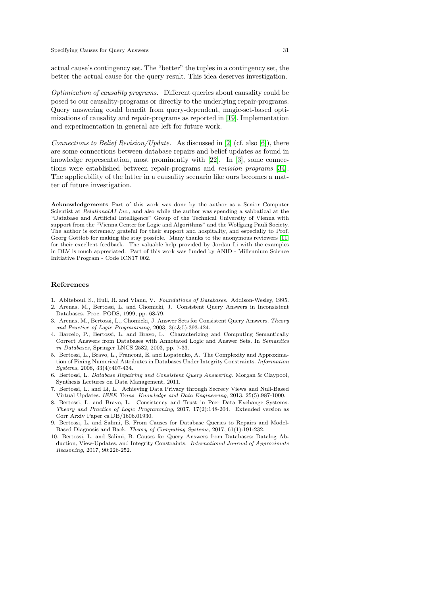actual cause's contingency set. The "better" the tuples in a contingency set, the better the actual cause for the query result. This idea deserves investigation.

Optimization of causality programs. Different queries about causality could be posed to our causality-programs or directly to the underlying repair-programs. Query answering could benefit from query-dependent, magic-set-based optimizations of causality and repair-programs as reported in [\[19\]](#page-31-6). Implementation and experimentation in general are left for future work.

Connections to Belief Revision/Update. As discussed in  $[2]$  (cf. also  $[6]$ ), there are some connections between database repairs and belief updates as found in knowledge representation, most prominently with [\[22\]](#page-31-24). In [\[3\]](#page-30-5), some connections were established between repair-programs and revision programs [\[34\]](#page-31-25). The applicability of the latter in a causality scenario like ours becomes a matter of future investigation.

Acknowledgements Part of this work was done by the author as a Senior Computer Scientist at RelationalAI Inc., and also while the author was spending a sabbatical at the "Database and Artificial Intelligence" Group of the Technical University of Vienna with support from the "Vienna Center for Logic and Algorithms" and the Wolfgang Pauli Society. The author is extremely grateful for their support and hospitality, and especially to Prof. Georg Gottlob for making the stay possible. Many thanks to the anonymous reviewers [\[11\]](#page-31-11) for their excellent feedback. The valuable help provided by Jordan Li with the examples in DLV is much appreciated. Part of this work was funded by ANID - Millennium Science Initiative Program - Code ICN17 002.

#### References

- <span id="page-30-3"></span>1. Abiteboul, S., Hull, R. and Vianu, V. Foundations of Databases. Addison-Wesley, 1995.
- <span id="page-30-9"></span>2. Arenas, M., Bertossi, L. and Chomicki, J. Consistent Query Answers in Inconsistent Databases. Proc. PODS, 1999, pp. 68-79.
- <span id="page-30-5"></span>3. Arenas, M., Bertossi, L., Chomicki, J. Answer Sets for Consistent Query Answers. Theory and Practice of Logic Programming, 2003, 3(4&5):393-424.
- <span id="page-30-4"></span>4. Barcelo, P., Bertossi, L. and Bravo, L. Characterizing and Computing Semantically Correct Answers from Databases with Annotated Logic and Answer Sets. In Semantics in Databases, Springer LNCS 2582, 2003, pp. 7-33.
- <span id="page-30-6"></span>5. Bertossi, L., Bravo, L., Franconi, E. and Lopatenko, A. The Complexity and Approximation of Fixing Numerical Attributes in Databases Under Integrity Constraints. Information Systems, 2008, 33(4):407-434.
- <span id="page-30-2"></span>6. Bertossi, L. Database Repairing and Consistent Query Answering. Morgan & Claypool, Synthesis Lectures on Data Management, 2011.
- <span id="page-30-7"></span>7. Bertossi, L. and Li, L. Achieving Data Privacy through Secrecy Views and Null-Based Virtual Updates. IEEE Trans. Knowledge and Data Engineering, 2013, 25(5):987-1000.
- <span id="page-30-8"></span>8. Bertossi, L. and Bravo, L. Consistency and Trust in Peer Data Exchange Systems. Theory and Practice of Logic Programming, 2017, 17(2):148-204. Extended version as Corr Arxiv Paper cs.DB/1606.01930.
- <span id="page-30-0"></span>9. Bertossi, L. and Salimi, B. From Causes for Database Queries to Repairs and Model-Based Diagnosis and Back. Theory of Computing Systems, 2017, 61(1):191-232.
- <span id="page-30-1"></span>10. Bertossi, L. and Salimi, B. Causes for Query Answers from Databases: Datalog Abduction, View-Updates, and Integrity Constraints. International Journal of Approximate Reasoning, 2017, 90:226-252.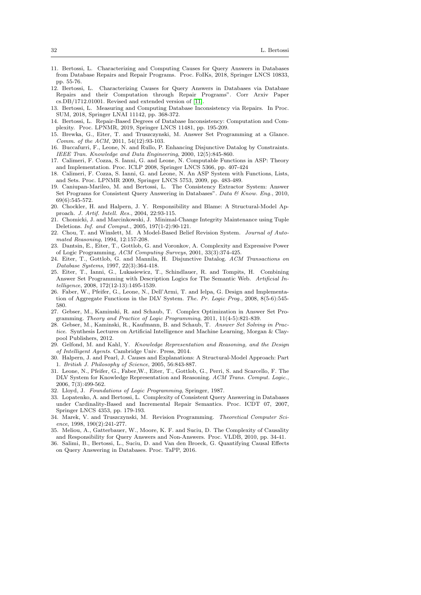- <span id="page-31-11"></span>11. Bertossi, L. Characterizing and Computing Causes for Query Answers in Databases from Database Repairs and Repair Programs. Proc. FoIKs, 2018, Springer LNCS 10833, pp. 55-76.
- <span id="page-31-12"></span>12. Bertossi, L. Characterizing Causes for Query Answers in Databases via Database Repairs and their Computation through Repair Programs". Corr Arxiv Paper cs.DB/1712.01001. Revised and extended version of [\[11\]](#page-31-11).
- <span id="page-31-15"></span>13. Bertossi, L. Measuring and Computing Database Inconsistency via Repairs. In Proc. SUM, 2018, Springer LNAI 11142, pp. 368-372.
- <span id="page-31-16"></span>14. Bertossi, L. Repair-Based Degrees of Database Inconsistency: Computation and Complexity. Proc. LPNMR, 2019, Springer LNCS 11481, pp. 195-209.
- <span id="page-31-3"></span>15. Brewka, G., Eiter, T. and Truszczynski, M. Answer Set Programming at a Glance. Comm. of the ACM, 2011, 54(12):93-103.
- <span id="page-31-18"></span>16. Buccafurri, F., Leone, N. and Rullo, P. Enhancing Disjunctive Datalog by Constraints. IEEE Tran. Knowledge and Data Engineering, 2000, 12(5):845-860.
- <span id="page-31-8"></span>17. Calimeri, F. Cozza, S. Ianni, G. and Leone, N. Computable Functions in ASP: Theory and Implementation. Proc. ICLP 2008, Springer LNCS 5366, pp. 407-424
- <span id="page-31-9"></span>18. Calimeri, F. Cozza, S. Ianni, G. and Leone, N. An ASP System with Functions, Lists, and Sets. Proc. LPNMR 2009, Springer LNCS 5753, 2009, pp. 483-489.
- <span id="page-31-6"></span>19. Caniupan-Marileo, M. and Bertossi, L. The Consistency Extractor System: Answer Set Programs for Consistent Query Answering in Databases". Data & Know. Eng., 2010, 69(6):545-572.
- <span id="page-31-1"></span>20. Chockler, H. and Halpern, J. Y. Responsibility and Blame: A Structural-Model Approach. J. Artif. Intell. Res., 2004, 22:93-115.
- <span id="page-31-22"></span>21. Chomicki, J. and Marcinkowski, J. Minimal-Change Integrity Maintenance using Tuple Deletions. Inf. and Comput., 2005, 197(1-2):90-121.
- <span id="page-31-24"></span>22. Chou, T. and Winslett, M. A Model-Based Belief Revision System. Journal of Automated Reasoning, 1994, 12:157-208.
- <span id="page-31-20"></span>23. Dantsin, E., Eiter, T., Gottlob, G. and Voronkov, A. Complexity and Expressive Power of Logic Programming, ACM Computing Surveys, 2001, 33(3):374-425.
- <span id="page-31-14"></span>24. Eiter, T., Gottlob, G. and Mannila, H. Disjunctive Datalog. ACM Transactions on Database Systems, 1997, 22(3):364-418.
- <span id="page-31-10"></span>25. Eiter, T., Ianni, G., Lukasiewicz, T., Schindlauer, R. and Tompits, H. Combining Answer Set Programming with Description Logics for The Semantic Web. Artificial Intelligence, 2008, 172(12-13):1495-1539.
- <span id="page-31-17"></span>26. Faber, W., Pfeifer, G., Leone, N., Dell'Armi, T. and Ielpa, G. Design and Implementation of Aggregate Functions in the DLV System. The. Pr. Logic Prog., 2008, 8(5-6):545- 580.
- <span id="page-31-23"></span>27. Gebser, M., Kaminski, R. and Schaub, T. Complex Optimization in Answer Set Programming. Theory and Practice of Logic Programming, 2011, 11(4-5):821-839.
- <span id="page-31-5"></span>28. Gebser, M., Kaminski, R., Kaufmann, B. and Schaub, T. Answer Set Solving in Practice. Synthesis Lectures on Artificial Intelligence and Machine Learning, Morgan & Claypool Publishers, 2012.
- <span id="page-31-4"></span>29. Gelfond, M. and Kahl, Y. Knowledge Representation and Reasoning, and the Design of Intelligent Agents. Cambridge Univ. Press, 2014.
- <span id="page-31-0"></span>30. Halpern, J. and Pearl, J. Causes and Explanations: A Structural-Model Approach: Part 1. British J. Philosophy of Science, 2005, 56:843-887.
- <span id="page-31-7"></span>31. Leone, N., Pfeifer, G., Faber,W., Eiter, T., Gottlob, G., Perri, S. and Scarcello, F. The DLV System for Knowledge Representation and Reasoning. ACM Trans. Comput. Logic., 2006, 7(3):499-562.
- <span id="page-31-13"></span>32. Lloyd, J. Foundations of Logic Programming, Springer, 1987.
- <span id="page-31-19"></span>33. Lopatenko, A. and Bertossi, L. Complexity of Consistent Query Answering in Databases under Cardinality-Based and Incremental Repair Semantics. Proc. ICDT 07, 2007, Springer LNCS 4353, pp. 179-193.
- <span id="page-31-25"></span>34. Marek, V. and Truszczynski, M. Revision Programming. Theoretical Computer Science, 1998, 190(2):241-277.
- <span id="page-31-2"></span>35. Meliou, A., Gatterbauer, W., Moore, K. F. and Suciu, D. The Complexity of Causality and Responsibility for Query Answers and Non-Answers. Proc. VLDB, 2010, pp. 34-41.
- <span id="page-31-21"></span>36. Salimi, B., Bertossi, L., Suciu, D. and Van den Broeck, G. Quantifying Causal Effects on Query Answering in Databases. Proc. TaPP, 2016.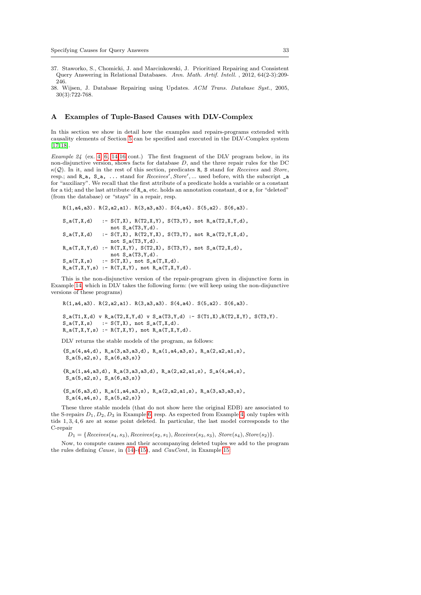- <span id="page-32-1"></span>37. Staworko, S., Chomicki, J. and Marcinkowski, J. Prioritized Repairing and Consistent Query Answering in Relational Databases. Ann. Math. Artif. Intell. , 2012, 64(2-3):209- 246.
- <span id="page-32-2"></span>38. Wijsen, J. Database Repairing using Updates. ACM Trans. Database Syst., 2005, 30(3):722-768.

#### <span id="page-32-0"></span>A Examples of Tuple-Based Causes with DLV-Complex

In this section we show in detail how the examples and repairs-programs extended with causality elements of Section [5](#page-16-0) can be specified and executed in the DLV-Complex system [\[17,](#page-31-8)[18\]](#page-31-9).

<span id="page-32-3"></span>Example  $24$  (ex. [4,](#page-5-1) [6,](#page-8-1) [14](#page-17-3)[-16](#page-21-2) cont.) The first fragment of the DLV program below, in its non-disjunctive version, shows facts for database  $D$ , and the three repair rules for the DC  $\kappa(Q)$ . In it, and in the rest of this section, predicates R, S stand for *Receives* and *Store*, resp.; and R\_a, S\_a, ... stand for  $Receives'$ ,  $Store', ...$  used before, with the subscript \_a for "auxiliary". We recall that the first attribute of a predicate holds a variable or a constant for a tid; and the last attribute of R\_a, etc. holds an annotation constant, d or s, for "deleted" (from the database) or "stays" in a repair, resp.

 $R(1, a4, a3)$ .  $R(2, a2, a1)$ .  $R(3, a3, a3)$ .  $S(4, a4)$ .  $S(5, a2)$ .  $S(6, a3)$ .

```
S_a(T,X,d) :- S(T,X), R(T2,X,Y), S(T3,Y), not R_a(T2,X,Y,d),
                not S_a(T3,Y,d).
S_a(T,X,d) :- S(T,X), R(T2,Y,X), S(T3,Y), not R_a(T2,Y,X,d),
                not S_a(T3,Y,d).
R_a(T,X,Y,d) :- R(T,X,Y), S(T2,X), S(T3,Y), not S_a(T2,X,d),
                not S_a(T3,Y,d).
S_a(T,X,s) :- S(T,X), not S_a(T,X,d).
R_a(T, X, Y, s) :- R(T, X, Y), not R_a(T, X, Y, d).
```
This is the non-disjunctive version of the repair-program given in disjunctive form in Example [14,](#page-17-3) which in DLV takes the following form: (we will keep using the non-disjunctive versions of these programs)

R(1,a4,a3). R(2,a2,a1). R(3,a3,a3). S(4,a4). S(5,a2). S(6,a3).

 $S_a(T1,X,d)$  v  $R_a(T2,X,Y,d)$  v  $S_a(T3,Y,d)$  :-  $S(T1,X),R(T2,X,Y)$ ,  $S(T3,Y)$ .  $S_a(T,X,s)$  :-  $S(T,X)$ , not  $S_a(T,X,d)$ .  $R_a(T,X,Y,s) := R(T,X,Y)$ , not  $R_a(T,X,Y,d)$ .

DLV returns the stable models of the program, as follows:

{S\_a(4,a4,d), R\_a(3,a3,a3,d), R\_a(1,a4,a3,s), R\_a(2,a2,a1,s), S\_a(5,a2,s), S\_a(6,a3,s)}

{R\_a(1,a4,a3,d), R\_a(3,a3,a3,d), R\_a(2,a2,a1,s), S\_a(4,a4,s), S\_a(5,a2,s), S\_a(6,a3,s)}

{S\_a(6,a3,d), R\_a(1,a4,a3,s), R\_a(2,a2,a1,s), R\_a(3,a3,a3,s), S\_a(4,a4,s), S\_a(5,a2,s)}

These three stable models (that do not show here the original EDB) are associated to the S-repairs  $D_1, D_2, D_3$  in Example [6,](#page-8-1) resp. As expected from Example [4,](#page-5-1) only tuples with tids 1, 3, 4, 6 are at some point deleted. In particular, the last model corresponds to the C-repair

 $D_1 = \{Receives(s_4, s_3), Receives(s_2, s_1), Receives(s_3, s_3), Store(s_4), Store(s_2)\}.$ 

Now, to compute causes and their accompanying deleted tuples we add to the program the rules defining Cause, in [\(14\)](#page-18-2)-[\(15\)](#page-18-2), and CauCont, in Example [15:](#page-19-1)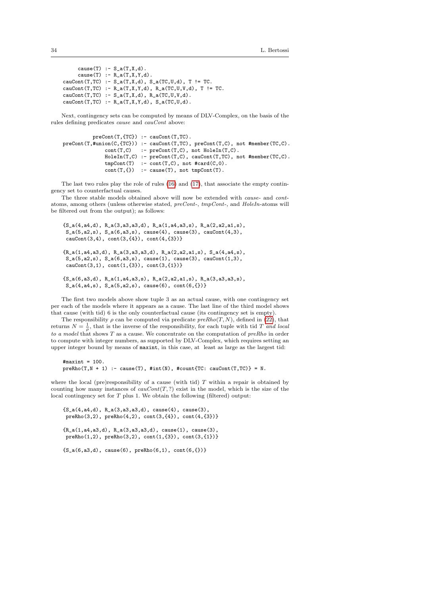```
cause(T) :- S_a(T,X,d).
      cause(T) :- R_a(T,X,Y,d).cauCont(T,TC) :- S_a(T,X,d), S_a(TC,U,d), T != TC.
cauCont(T,TC) :- R_a(T,X,Y,d), R_a(TC,U,V,d), T != TC.
cauCont(T,TC) :- S_a(T,X,d), R_a(TC,U,V,d).
\mathtt{cauCont(T,TC)} \coloneq \mathtt{R\_a(T,X,Y,d)}\text{, } \mathtt{S\_a(TC,U,d)}\text{.}
```
Next, contingency sets can be computed by means of DLV-Complex, on the basis of the rules defining predicates cause and cauCont above:

```
preCont(T, \{TC\}) :- cauCont(T, TC).
\begin{array}{lcl} \texttt{preCont(T,#union(C, \{TC\}))} & \texttt{:-} \texttt{ caUCont(T, TC)}, \texttt{ preCont(T, C)}, \texttt{ not #member(TC, C)}\\ & \texttt{cont(T, C)} & \texttt{:-} \texttt{ preCont(T, C)}, \texttt{ not HoleIn(T, C)}. \end{array}: - preCont(T,C), not HoleIn(T,C).
                           HoleIn(T, C) :- preCont(T, C), cauCont(T, TC), not #member(TC, C).
                           \label{eq:opt1} \texttt{tmpCont(T)} \quad \texttt{:=} \ \ \texttt{cont(T,C)} \texttt{,} \ \ \texttt{not} \ \ \texttt{#card(C,0)} \,.cont(T, {}_{1}) :- cause(T), not tmpCont(T).
```
The last two rules play the role of rules [\(16\)](#page-19-0) and [\(17\)](#page-19-0), that associate the empty contingency set to counterfactual causes.

The three stable models obtained above will now be extended with cause- and contatoms, among others (unless otherwise stated, preCont-, tmpCont-, and HoleIn-atoms will be filtered out from the output); as follows:

```
{S_a(4,a4,d), R_a(3,a3,a3,d), R_a(1,a4,a3,s), R_a(2,a2,a1,s),
S_a(5,a2,s), S_a(6,a3,s), cause(4), cause(3), cauCont(4,3),
cauCont(3,4), cont(3,\{4\}), cont(4,\{3\})
```

```
{R_a(1,a4,a3,d), R_a(3,a3,a3,d), R_a(2,a2,a1,s), S_a(4,a4,s),
S_a(5,a2,s), S_a(6,a3,s), cause(1), cause(3), cauCont(1,3),
 cauCont(3,1), cont(1,\{3\}), cont(3,\{1\})
```

```
{S_a(6,a3,d), R_a(1,a4,a3,s), R_a(2,a2,a1,s), R_a(3,a3,a3,s),
S_a(4,a4,s), S_a(5,a2,s), cause(6), cont(6,{})}
```
The first two models above show tuple 3 as an actual cause, with one contingency set per each of the models where it appears as a cause. The last line of the third model shows that cause (with tid) 6 is the only counterfactual cause (its contingency set is empty).

The responsibility  $\rho$  can be computed via predicate  $preRho(T, N)$ , defined in [\(22\)](#page-20-0), that returns  $N = \frac{1}{\rho}$ , that is the inverse of the responsibility, for each tuple with tid T and local to a model that shows T as a cause. We concentrate on the computation of preRho in order to compute with integer numbers, as supported by DLV-Complex, which requires setting an upper integer bound by means of maxint, in this case, at least as large as the largest tid:

```
\text{t} maxint = 100
preRho(T, N + 1) :- cause(T), \#int(N), \#count{TC: cauCont(T, TC)} = N.
```
where the local (pre)responsibility of a cause (with tid) T within a repair is obtained by counting how many instances of  $cauCont(T, ?)$  exist in the model, which is the size of the local contingency set for T plus 1. We obtain the following (filtered) output:

```
{S_a(4,a4,d), R_a(3,a3,a3,d), cause(4), cause(3),
preRho(3,2), preRho(4,2), cont(3,\{4\}), cont(4,\{3\})}
{R_a(1,a4,a3,d), R_a(3,a3,a3,d), cause(1), cause(3),
preRho(1,2), preRho(3,2), cont(1,{3}), cont(3,{1})}
```
 ${S_a(6,a3,d),}$  cause(6), preRho(6,1), cont(6,{})}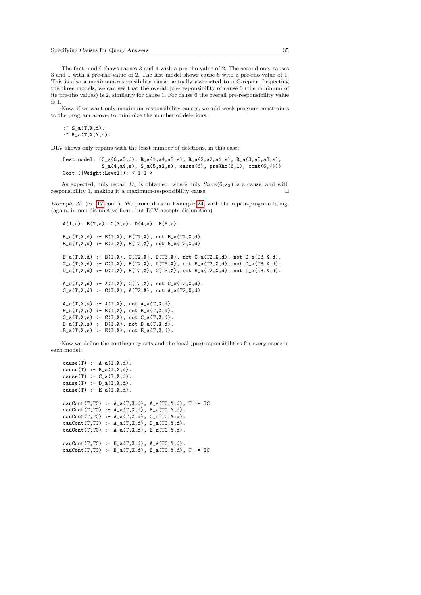The first model shows causes 3 and 4 with a pre-rho value of 2. The second one, causes 3 and 1 with a pre-rho value of 2. The last model shows cause 6 with a pre-rho value of 1. This is also a maximum-responsibility cause, actually associated to a C-repair. Inspecting the three models, we can see that the overall pre-responsibility of cause 3 (the minimum of its pre-rho values) is 2, similarly for cause 1. For cause 6 the overall pre-responsibility value is 1.

Now, if we want only maximum-responsibility causes, we add weak program constraints to the program above, to minimize the number of deletions:

```
: S a(T,X,d).
: R_a(T, X, Y, d).
```
DLV shows only repairs with the least number of deletions, in this case:

Best model: {S\_a(6,a3,d), R\_a(1,a4,a3,s), R\_a(2,a2,a1,s), R\_a(3,a3,a3,s),  $S_a(4, a4, s)$ ,  $S_a(5, a2, s)$ , cause(6), preRho(6,1), cont(6,{})} Cost ([Weight:Level]): <[1:1]>

As expected, only repair  $D_1$  is obtained, where only  $Store(6, s_3)$  is a cause, and with responsibility 1, making it a maximum-responsibility cause.

Example 25 (ex. [17](#page-21-0) cont.) We proceed as in Example [24,](#page-32-3) with the repair-program being: (again, in non-disjunctive form, but DLV accepts disjunction)

 $A(1,a)$ .  $B(2,a)$ .  $C(3,a)$ .  $D(4,a)$ .  $E(5,a)$ .

 $B_a(T,X,d) := B(T,X), E(T2,X), \text{ not } E_a(T2,X,d).$  $E_a(T,X,d) := E(T,X), B(T2,X), \text{not } B_a(T2,X,d).$  $B_a(T,X,d) := B(T,X), C(T2,X), D(T3,X),$  not  $C_a(T2,X,d),$  not  $D_a(T3,X,d)$ .  $C_a(T,X,d) := C(T,X), B(T2,X), D(T3,X), \text{not } B_a(T2,X,d), \text{not } D_a(T3,X,d).$  $D_a(T,X,d) := D(T,X)$ ,  $B(T2,X)$ ,  $C(T3,X)$ , not  $B_a(T2,X,d)$ , not  $C_a(T3,X,d)$ .  $A_a(T,X,d)$  :-  $A(T,X)$ ,  $C(T2,X)$ , not  $C_a(T2,X,d)$ .  $C_a(T,X,d) := C(T,X), A(T2,X), \text{ not } A_a(T2,X,d).$  $A_a(T,X,s)$  :-  $A(T,X)$ , not  $A_a(T,X,d)$ .  $B_a(T,X,s) := B(T,X)$ , not  $B_a(T,X,d)$ .  $C_a(T,X,s) := C(T,X)$ , not  $C_a(T,X,d)$ .  $\mathtt{D\_a(T, X, s)} \coloneq \mathtt{D(T, X), not} \mathtt{D\_a(T, X, d)}.$  $E_a(T,X,s)$  :-  $E(T,X)$ , not  $E_a(T,X,d)$ .

Now we define the contingency sets and the local (pre)responsibilities for every cause in each model:

cause $(T)$  :-  $A_a(T,X,d)$ . cause $(T)$  :-  $B_a(T,X,d)$ . cause $(T)$  :-  $C_a(T,X,d)$ . cause $(T)$  :-  $D_a(T,X,d)$ .  $cause(T) :- E_a(T,X,d).$ cauCont(T,TC) :-  $A_a(T,X,d)$ ,  $A_a(TC,Y,d)$ , T != TC.  $\mathtt{cauCont(T,TC)} \coloneq \mathtt{A\_a(T,X,d)}\text{, } \mathtt{B\_a(TC,Y,d)}\text{.}$  $\mathtt{cauCont(T,TC)} \coloneq \mathtt{A\_a(T,X,d)}\text{, } \mathtt{C\_a(TC,Y,d)}\text{.}$ cauCont(T,TC) :-  $A_a(T,X,d)$ ,  $D_a(TC,Y,d)$ .  $cauCont(T,TC)$  :-  $A_a(T,X,d)$ ,  $E_a(TC,Y,d)$ .  $cauCont(T,TC) :- B_a(T,X,d), A_a(TC,Y,d).$ cauCont $(T, TC)$  :-  $B_a(T,X,d)$ ,  $B_a(TC,Y,d)$ ,  $T$  != TC.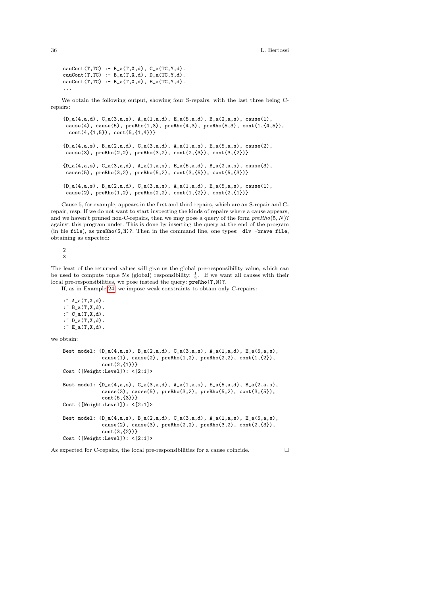$cauCont(T,TC) := B_a(T,X,d), C_a(TC,Y,d).$  $cauCont(T,TC) := B_a(T,X,d), D_a(TC,Y,d).$  $cauCont(T,TC)$  :-  $B_a(T,X,d)$ ,  $E_a(TC,Y,d)$ . ...

We obtain the following output, showing four S-repairs, with the last three being Crepairs:

```
{D_a(4,a,d), C_a(3,a,s), A_a(1,a,d), E_a(5,a,d), B_a(2,a,s), cause(1),
cause(4), cause(5), preRho(1,3), preRho(4,3), preRho(5,3), cont(1,{4,5}),
 cont(4,{1,5}), cont(5,{1,4})}
{D_a(4,a,s), B_a(2,a,d), C_a(3,a,d), A_a(1,a,s), E_a(5,a,s), cause(2),
cause(3), preRho(2,2), preRho(3,2), cont(2,\{3\}), cont(3,\{2\}){D_a(4,a,s), C_a(3,a,d), A_a(1,a,s), E_a(5,a,d), B_a(2,a,s), cause(3),
cause(5), preRho(3,2), preRho(5,2), cont(3,\{5\}), cont(5,\{3\})
```
 ${D_a(4,a,s)}$ ,  $B_a(2,a,d)$ ,  $C_a(3,a,s)$ ,  $A_a(1,a,d)$ ,  $E_a(5,a,s)$ , cause(1),  $cause(2), preRho(1,2), preRho(2,2), cont(1,\{2\}), cont(2,\{1\})$ 

Cause 5, for example, appears in the first and third repairs, which are an S-repair and Crepair, resp. If we do not want to start inspecting the kinds of repairs where a cause appears, and we haven't pruned non-C-repairs, then we may pose a query of the form  $preRho(5, N)$ ? against this program under. This is done by inserting the query at the end of the program (in file file), as  $preRho(5,N)$ ?. Then in the command line, one types: dlv -brave file, obtaining as expected:

2 3

The least of the returned values will give us the global pre-responsibility value, which can be used to compute tuple 5's (global) responsibility:  $\frac{1}{2}$ . If we want all causes with their be used to compute tuple 5 s (grobar) responsibility.  $_2$ . If we wall ocal pre-responsibilities, we pose instead the query:  $\text{preRho}(T,N)$ ?.

If, as in Example [24,](#page-32-3) we impose weak constraints to obtain only C-repairs:

```
: A_a(T,X,d).
: B_a(T,X,d).
: C_a(T, X, d).
: D_a(T, X, d).
: E_a(T,X,d).
```
we obtain:

```
Best model: {D_a(4,a,s), B_a(2,a,d), C_a(3,a,s), A_a(1,a,d), E_a(5,a,s),
             cause(1), cause(2), preRho(1,2), preRho(2,2), cont(1,{2}),
             cont(2,{1})}
Cost ([Weight:Level]): <[2:1]>
Best model: {D_a(4,a,s)}, C_a(3,a,d), A_a(1,a,s), E_a(5,a,d), B_a(2,a,s),
             cause(3), cause(5), preRho(3,2), preRho(5,2), cont(3,{5}),
             cont(5,{3})}
Cost ([Weight:Level]): <[2:1]>
Best model: {D_a(4,a,s), B_a(2,a,d), C_a(3,a,d), A_a(1,a,s), E_a(5,a,s),
             cause(2), cause(3), preRho(2,2), preRho(3,2), cont(2,\{3\}),
             cont(3,{2})}
Cost ([Weight:Level]): <[2:1]>
```
As expected for C-repairs, the local pre-responsibilities for a cause coincide.  $\Box$